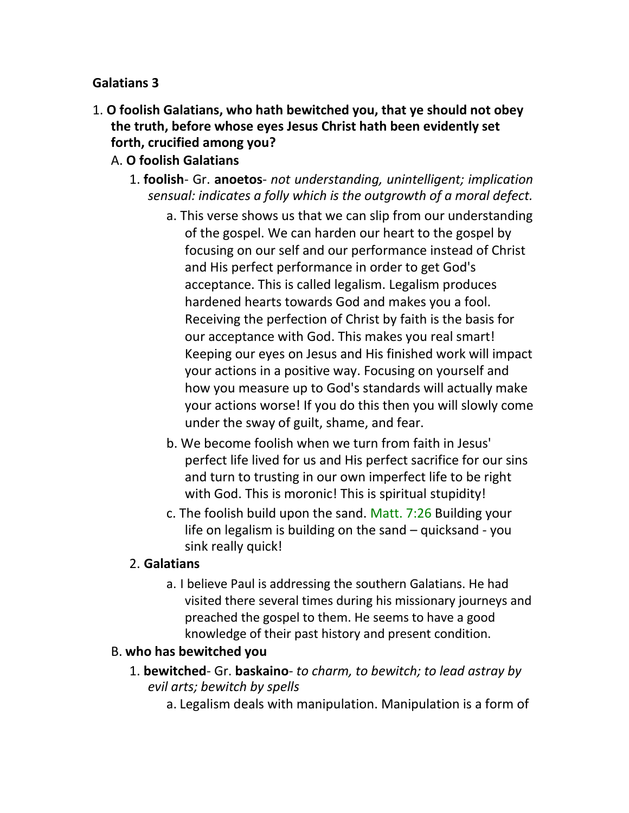#### **Galatians 3**

- 1. **O foolish Galatians, who hath bewitched you, that ye should not obey the truth, before whose eyes Jesus Christ hath been evidently set forth, crucified among you?**
	- A. **O foolish Galatians**
		- 1. **foolish** Gr. **anoetos** *not understanding, unintelligent; implication sensual: indicates a folly which is the outgrowth of a moral defect.*
			- a. This verse shows us that we can slip from our understanding of the gospel. We can harden our heart to the gospel by focusing on our self and our performance instead of Christ and His perfect performance in order to get God's acceptance. This is called legalism. Legalism produces hardened hearts towards God and makes you a fool. Receiving the perfection of Christ by faith is the basis for our acceptance with God. This makes you real smart! Keeping our eyes on Jesus and His finished work will impact your actions in a positive way. Focusing on yourself and how you measure up to God's standards will actually make your actions worse! If you do this then you will slowly come under the sway of guilt, shame, and fear.
			- b. We become foolish when we turn from faith in Jesus' perfect life lived for us and His perfect sacrifice for our sins and turn to trusting in our own imperfect life to be right with God. This is moronic! This is spiritual stupidity!
			- c. The foolish build upon the sand. Matt. 7:26 Building your life on legalism is building on the sand – quicksand - you sink really quick!

#### 2. **Galatians**

a. I believe Paul is addressing the southern Galatians. He had visited there several times during his missionary journeys and preached the gospel to them. He seems to have a good knowledge of their past history and present condition.

#### B. **who has bewitched you**

- 1. **bewitched** Gr. **baskaino** *to charm, to bewitch; to lead astray by evil arts; bewitch by spells*
	- a. Legalism deals with manipulation. Manipulation is a form of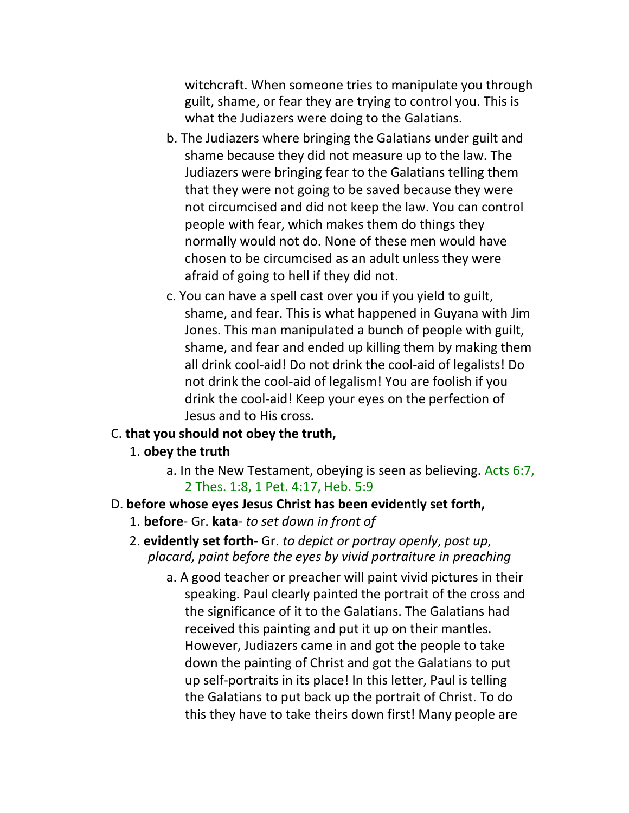witchcraft. When someone tries to manipulate you through guilt, shame, or fear they are trying to control you. This is what the Judiazers were doing to the Galatians.

- b. The Judiazers where bringing the Galatians under guilt and shame because they did not measure up to the law. The Judiazers were bringing fear to the Galatians telling them that they were not going to be saved because they were not circumcised and did not keep the law. You can control people with fear, which makes them do things they normally would not do. None of these men would have chosen to be circumcised as an adult unless they were afraid of going to hell if they did not.
- c. You can have a spell cast over you if you yield to guilt, shame, and fear. This is what happened in Guyana with Jim Jones. This man manipulated a bunch of people with guilt, shame, and fear and ended up killing them by making them all drink cool-aid! Do not drink the cool-aid of legalists! Do not drink the cool-aid of legalism! You are foolish if you drink the cool-aid! Keep your eyes on the perfection of Jesus and to His cross.

#### C. **that you should not obey the truth,**

#### 1. **obey the truth**

a. In the New Testament, obeying is seen as believing. Acts 6:7, 2 Thes. 1:8, 1 Pet. 4:17, Heb. 5:9

#### D. **before whose eyes Jesus Christ has been evidently set forth,**

- 1. **before** Gr. **kata** *to set down in front of*
- 2. **evidently set forth** Gr. *to depict or portray openly*, *post up*, *placard, paint before the eyes by vivid portraiture in preaching*
	- a. A good teacher or preacher will paint vivid pictures in their speaking. Paul clearly painted the portrait of the cross and the significance of it to the Galatians. The Galatians had received this painting and put it up on their mantles. However, Judiazers came in and got the people to take down the painting of Christ and got the Galatians to put up self-portraits in its place! In this letter, Paul is telling the Galatians to put back up the portrait of Christ. To do this they have to take theirs down first! Many people are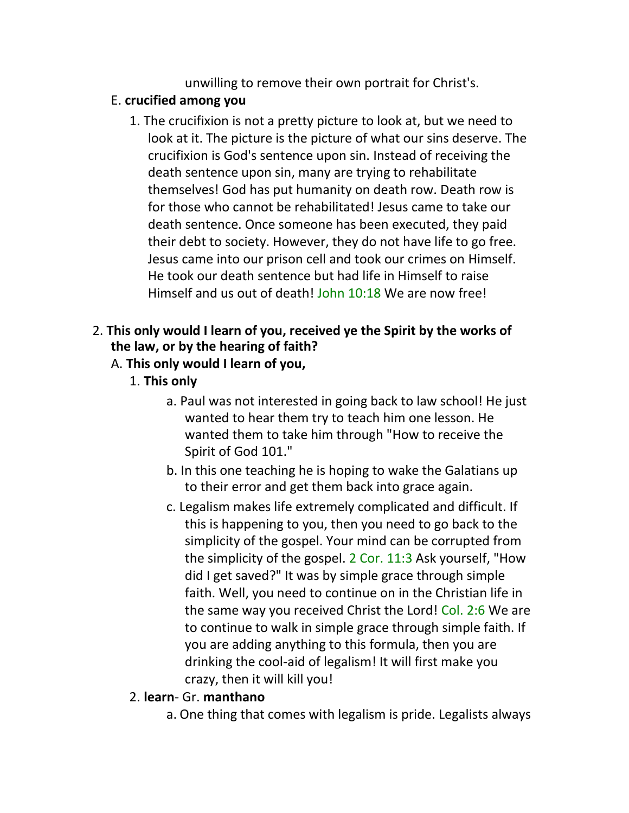unwilling to remove their own portrait for Christ's.

## E. **crucified among you**

1. The crucifixion is not a pretty picture to look at, but we need to look at it. The picture is the picture of what our sins deserve. The crucifixion is God's sentence upon sin. Instead of receiving the death sentence upon sin, many are trying to rehabilitate themselves! God has put humanity on death row. Death row is for those who cannot be rehabilitated! Jesus came to take our death sentence. Once someone has been executed, they paid their debt to society. However, they do not have life to go free. Jesus came into our prison cell and took our crimes on Himself. He took our death sentence but had life in Himself to raise Himself and us out of death! John 10:18 We are now free!

# 2. **This only would I learn of you, received ye the Spirit by the works of the law, or by the hearing of faith?**

# A. **This only would I learn of you,**

- 1. **This only**
	- a. Paul was not interested in going back to law school! He just wanted to hear them try to teach him one lesson. He wanted them to take him through "How to receive the Spirit of God 101."
	- b. In this one teaching he is hoping to wake the Galatians up to their error and get them back into grace again.
	- c. Legalism makes life extremely complicated and difficult. If this is happening to you, then you need to go back to the simplicity of the gospel. Your mind can be corrupted from the simplicity of the gospel. 2 Cor. 11:3 Ask yourself, "How did I get saved?" It was by simple grace through simple faith. Well, you need to continue on in the Christian life in the same way you received Christ the Lord! Col. 2:6 We are to continue to walk in simple grace through simple faith. If you are adding anything to this formula, then you are drinking the cool-aid of legalism! It will first make you crazy, then it will kill you!

#### 2. **learn**- Gr. **manthano**

a. One thing that comes with legalism is pride. Legalists always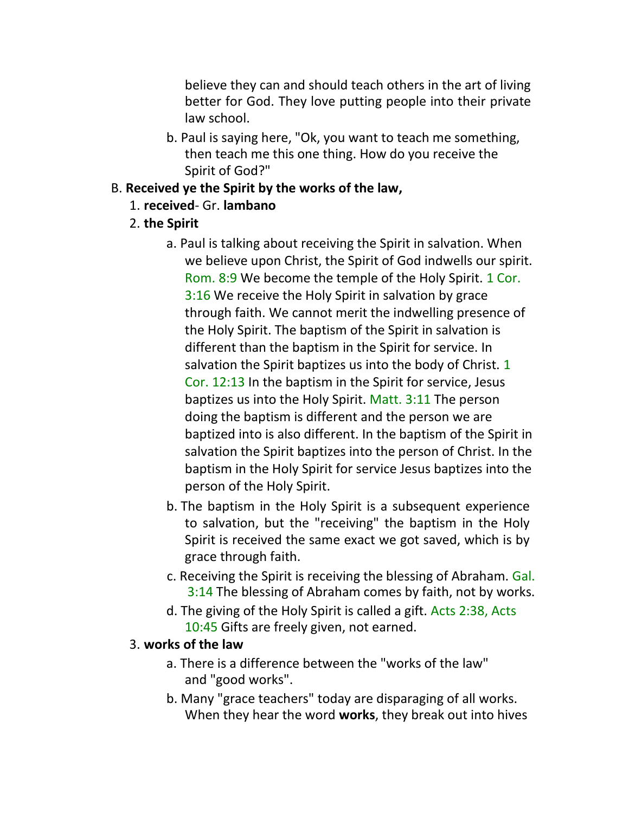believe they can and should teach others in the art of living better for God. They love putting people into their private law school.

- b. Paul is saying here, "Ok, you want to teach me something, then teach me this one thing. How do you receive the Spirit of God?"
- B. **Received ye the Spirit by the works of the law,**
	- 1. **received** Gr. **lambano**
	- 2. **the Spirit**
		- a. Paul is talking about receiving the Spirit in salvation. When we believe upon Christ, the Spirit of God indwells our spirit. Rom. 8:9 We become the temple of the Holy Spirit. 1 Cor. 3:16 We receive the Holy Spirit in salvation by grace through faith. We cannot merit the indwelling presence of the Holy Spirit. The baptism of the Spirit in salvation is different than the baptism in the Spirit for service. In salvation the Spirit baptizes us into the body of Christ. 1 Cor. 12:13 In the baptism in the Spirit for service, Jesus baptizes us into the Holy Spirit. Matt. 3:11 The person doing the baptism is different and the person we are baptized into is also different. In the baptism of the Spirit in salvation the Spirit baptizes into the person of Christ. In the baptism in the Holy Spirit for service Jesus baptizes into the person of the Holy Spirit.
		- b. The baptism in the Holy Spirit is a subsequent experience to salvation, but the "receiving" the baptism in the Holy Spirit is received the same exact we got saved, which is by grace through faith.
		- c. Receiving the Spirit is receiving the blessing of Abraham. Gal. 3:14 The blessing of Abraham comes by faith, not by works.
		- d. The giving of the Holy Spirit is called a gift. Acts 2:38, Acts 10:45 Gifts are freely given, not earned.

#### 3. **works of the law**

- a. There is a difference between the "works of the law" and "good works".
- b. Many "grace teachers" today are disparaging of all works. When they hear the word **works**, they break out into hives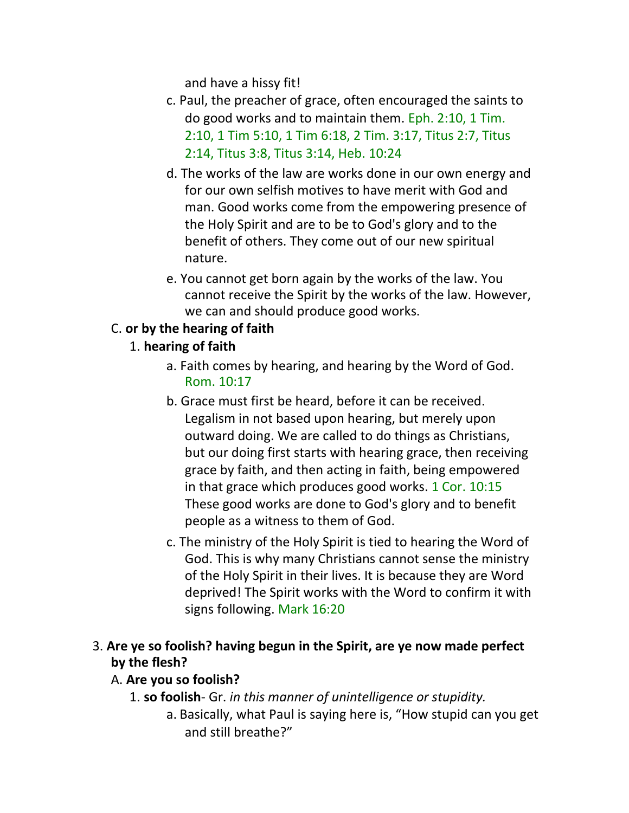and have a hissy fit!

- c. Paul, the preacher of grace, often encouraged the saints to do good works and to maintain them. Eph. 2:10, 1 Tim. 2:10, 1 Tim 5:10, 1 Tim 6:18, 2 Tim. 3:17, Titus 2:7, Titus 2:14, Titus 3:8, Titus 3:14, Heb. 10:24
- d. The works of the law are works done in our own energy and for our own selfish motives to have merit with God and man. Good works come from the empowering presence of the Holy Spirit and are to be to God's glory and to the benefit of others. They come out of our new spiritual nature.
- e. You cannot get born again by the works of the law. You cannot receive the Spirit by the works of the law. However, we can and should produce good works.

# C. **or by the hearing of faith**

# 1. **hearing of faith**

- a. Faith comes by hearing, and hearing by the Word of God. Rom. 10:17
- b. Grace must first be heard, before it can be received. Legalism in not based upon hearing, but merely upon outward doing. We are called to do things as Christians, but our doing first starts with hearing grace, then receiving grace by faith, and then acting in faith, being empowered in that grace which produces good works. 1 Cor. 10:15 These good works are done to God's glory and to benefit people as a witness to them of God.
- c. The ministry of the Holy Spirit is tied to hearing the Word of God. This is why many Christians cannot sense the ministry of the Holy Spirit in their lives. It is because they are Word deprived! The Spirit works with the Word to confirm it with signs following. Mark 16:20
- 3. **Are ye so foolish? having begun in the Spirit, are ye now made perfect by the flesh?**

# A. **Are you so foolish?**

- 1. **so foolish** Gr. *in this manner of unintelligence or stupidity.*
	- a. Basically, what Paul is saying here is, "How stupid can you get and still breathe?"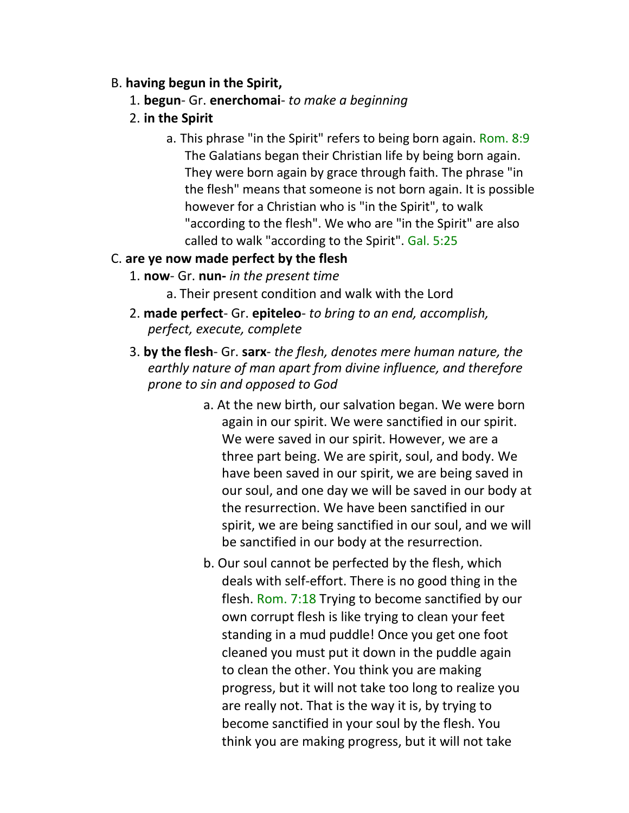#### B. **having begun in the Spirit,**

- 1. **begun** Gr. **enerchomai** *to make a beginning*
- 2. **in the Spirit**
	- a. This phrase "in the Spirit" refers to being born again. Rom. 8:9 The Galatians began their Christian life by being born again. They were born again by grace through faith. The phrase "in the flesh" means that someone is not born again. It is possible however for a Christian who is "in the Spirit", to walk "according to the flesh". We who are "in the Spirit" are also called to walk "according to the Spirit". Gal. 5:25

#### C. **are ye now made perfect by the flesh**

- 1. **now** Gr. **nun-** *in the present time*
	- a. Their present condition and walk with the Lord
- 2. **made perfect** Gr. **epiteleo** *to bring to an end, accomplish, perfect, execute, complete*
- 3. **by the flesh** Gr. **sarx** *the flesh, denotes mere human nature, the earthly nature of man apart from divine influence, and therefore prone to sin and opposed to God*
	- a. At the new birth, our salvation began. We were born again in our spirit. We were sanctified in our spirit. We were saved in our spirit. However, we are a three part being. We are spirit, soul, and body. We have been saved in our spirit, we are being saved in our soul, and one day we will be saved in our body at the resurrection. We have been sanctified in our spirit, we are being sanctified in our soul, and we will be sanctified in our body at the resurrection.
	- b. Our soul cannot be perfected by the flesh, which deals with self-effort. There is no good thing in the flesh. Rom. 7:18 Trying to become sanctified by our own corrupt flesh is like trying to clean your feet standing in a mud puddle! Once you get one foot cleaned you must put it down in the puddle again to clean the other. You think you are making progress, but it will not take too long to realize you are really not. That is the way it is, by trying to become sanctified in your soul by the flesh. You think you are making progress, but it will not take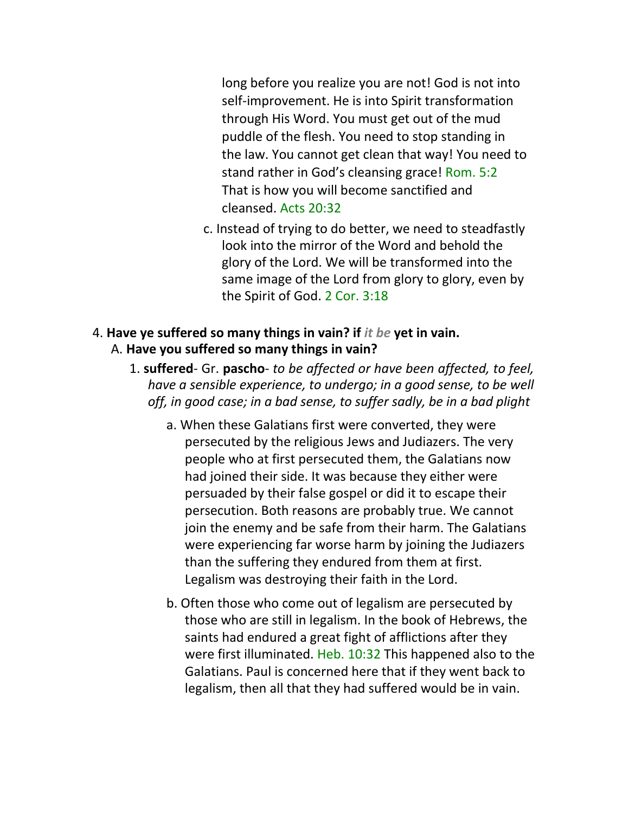long before you realize you are not! God is not into self-improvement. He is into Spirit transformation through His Word. You must get out of the mud puddle of the flesh. You need to stop standing in the law. You cannot get clean that way! You need to stand rather in God's cleansing grace! Rom. 5:2 That is how you will become sanctified and cleansed. Acts 20:32

c. Instead of trying to do better, we need to steadfastly look into the mirror of the Word and behold the glory of the Lord. We will be transformed into the same image of the Lord from glory to glory, even by the Spirit of God. 2 Cor. 3:18

#### 4. **Have ye suffered so many things in vain? if** *it be* **yet in vain.**  A. **Have you suffered so many things in vain?**

- 1. **suffered** Gr. **pascho** *to be affected or have been affected, to feel, have a sensible experience, to undergo; in a good sense, to be well off, in good case; in a bad sense, to suffer sadly, be in a bad plight*
	- a. When these Galatians first were converted, they were persecuted by the religious Jews and Judiazers. The very people who at first persecuted them, the Galatians now had joined their side. It was because they either were persuaded by their false gospel or did it to escape their persecution. Both reasons are probably true. We cannot join the enemy and be safe from their harm. The Galatians were experiencing far worse harm by joining the Judiazers than the suffering they endured from them at first. Legalism was destroying their faith in the Lord.
	- b. Often those who come out of legalism are persecuted by those who are still in legalism. In the book of Hebrews, the saints had endured a great fight of afflictions after they were first illuminated. Heb. 10:32 This happened also to the Galatians. Paul is concerned here that if they went back to legalism, then all that they had suffered would be in vain.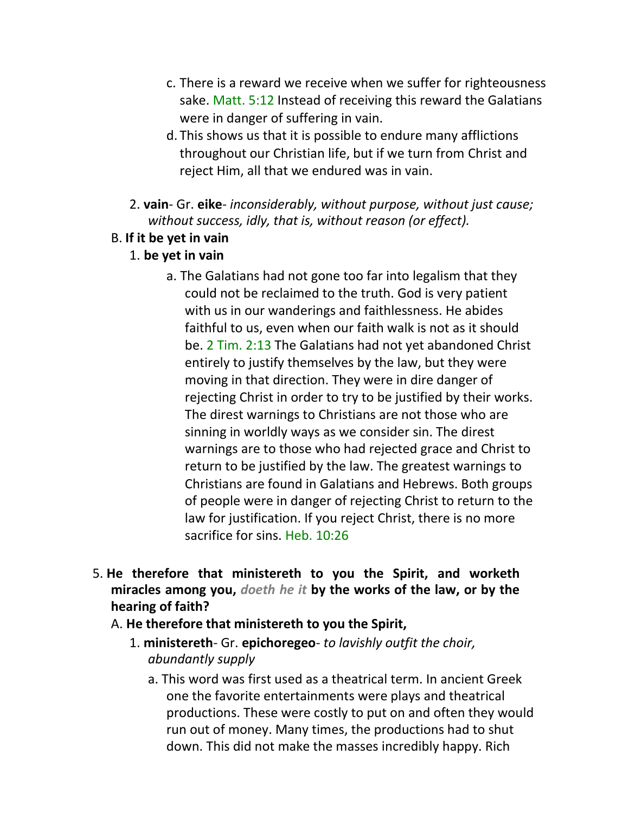- c. There is a reward we receive when we suffer for righteousness sake. Matt. 5:12 Instead of receiving this reward the Galatians were in danger of suffering in vain.
- d. This shows us that it is possible to endure many afflictions throughout our Christian life, but if we turn from Christ and reject Him, all that we endured was in vain.
- 2. **vain** Gr. **eike** *inconsiderably, without purpose, without just cause; without success, idly, that is, without reason (or effect).*

#### B. **If it be yet in vain**

#### 1. **be yet in vain**

- a. The Galatians had not gone too far into legalism that they could not be reclaimed to the truth. God is very patient with us in our wanderings and faithlessness. He abides faithful to us, even when our faith walk is not as it should be. 2 Tim. 2:13 The Galatians had not yet abandoned Christ entirely to justify themselves by the law, but they were moving in that direction. They were in dire danger of rejecting Christ in order to try to be justified by their works. The direst warnings to Christians are not those who are sinning in worldly ways as we consider sin. The direst warnings are to those who had rejected grace and Christ to return to be justified by the law. The greatest warnings to Christians are found in Galatians and Hebrews. Both groups of people were in danger of rejecting Christ to return to the law for justification. If you reject Christ, there is no more sacrifice for sins. Heb. 10:26
- 5. **He therefore that ministereth to you the Spirit, and worketh miracles among you,** *doeth he it* **by the works of the law, or by the hearing of faith?**
	- A. **He therefore that ministereth to you the Spirit,**
		- 1. **ministereth** Gr. **epichoregeo** *to lavishly outfit the choir, abundantly supply*
			- a. This word was first used as a theatrical term. In ancient Greek one the favorite entertainments were plays and theatrical productions. These were costly to put on and often they would run out of money. Many times, the productions had to shut down. This did not make the masses incredibly happy. Rich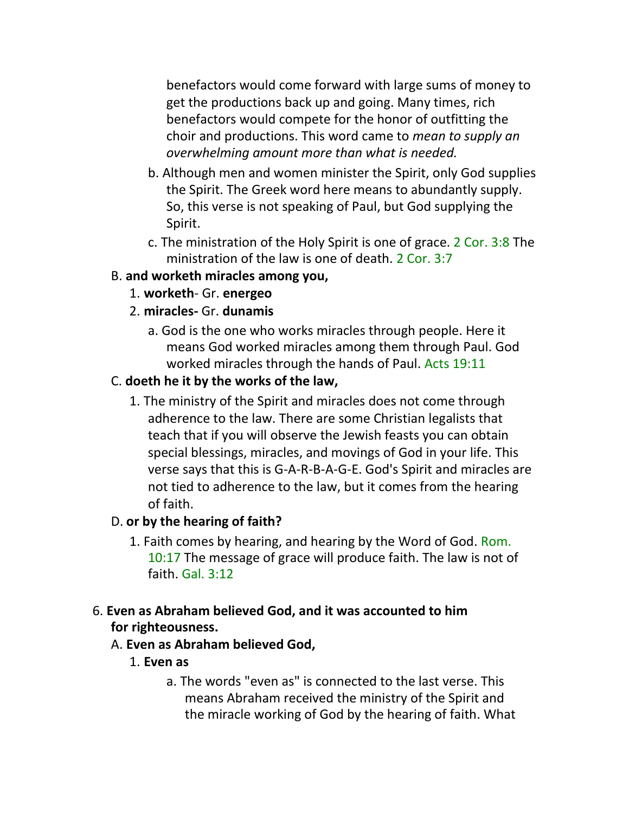benefactors would come forward with large sums of money to get the productions back up and going. Many times, rich benefactors would compete for the honor of outfitting the choir and productions. This word came to *mean to supply an overwhelming amount more than what is needed.*

- b. Although men and women minister the Spirit, only God supplies the Spirit. The Greek word here means to abundantly supply. So, this verse is not speaking of Paul, but God supplying the Spirit.
- c. The ministration of the Holy Spirit is one of grace. 2 Cor. 3:8 The ministration of the law is one of death. 2 Cor. 3:7

#### B. **and worketh miracles among you,**

- 1. **worketh** Gr. **energeo**
- 2. **miracles-** Gr. **dunamis**
	- a. God is the one who works miracles through people. Here it means God worked miracles among them through Paul. God worked miracles through the hands of Paul. Acts 19:11

# C. **doeth he it by the works of the law,**

1. The ministry of the Spirit and miracles does not come through adherence to the law. There are some Christian legalists that teach that if you will observe the Jewish feasts you can obtain special blessings, miracles, and movings of God in your life. This verse says that this is G-A-R-B-A-G-E. God's Spirit and miracles are not tied to adherence to the law, but it comes from the hearing of faith.

#### D. **or by the hearing of faith?**

- 1. Faith comes by hearing, and hearing by the Word of God. Rom. 10:17 The message of grace will produce faith. The law is not of faith. Gal. 3:12
- 6. **Even as Abraham believed God, and it was accounted to him for righteousness.**
	- A. **Even as Abraham believed God,**
		- 1. **Even as**
			- a. The words "even as" is connected to the last verse. This means Abraham received the ministry of the Spirit and the miracle working of God by the hearing of faith. What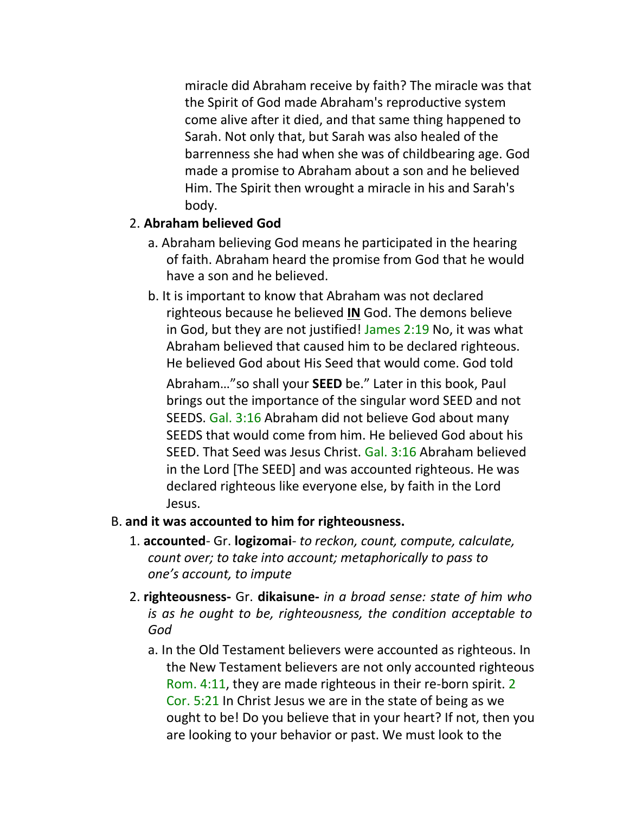miracle did Abraham receive by faith? The miracle was that the Spirit of God made Abraham's reproductive system come alive after it died, and that same thing happened to Sarah. Not only that, but Sarah was also healed of the barrenness she had when she was of childbearing age. God made a promise to Abraham about a son and he believed Him. The Spirit then wrought a miracle in his and Sarah's body.

#### 2. **Abraham believed God**

- a. Abraham believing God means he participated in the hearing of faith. Abraham heard the promise from God that he would have a son and he believed.
- b. It is important to know that Abraham was not declared righteous because he believed **IN** God. The demons believe in God, but they are not justified! James 2:19 No, it was what Abraham believed that caused him to be declared righteous. He believed God about His Seed that would come. God told Abraham…"so shall your **SEED** be." Later in this book, Paul brings out the importance of the singular word SEED and not SEEDS. Gal. 3:16 Abraham did not believe God about many SEEDS that would come from him. He believed God about his SEED. That Seed was Jesus Christ. Gal. 3:16 Abraham believed in the Lord [The SEED] and was accounted righteous. He was declared righteous like everyone else, by faith in the Lord Jesus.

#### B. **and it was accounted to him for righteousness.**

- 1. **accounted** Gr. **logizomai** *to reckon, count, compute, calculate, count over; to take into account; metaphorically to pass to one's account, to impute*
- 2. **righteousness-** Gr. **dikaisune-** *in a broad sense: state of him who is as he ought to be, righteousness, the condition acceptable to God*
	- a. In the Old Testament believers were accounted as righteous. In the New Testament believers are not only accounted righteous Rom. 4:11, they are made righteous in their re-born spirit. 2 Cor. 5:21 In Christ Jesus we are in the state of being as we ought to be! Do you believe that in your heart? If not, then you are looking to your behavior or past. We must look to the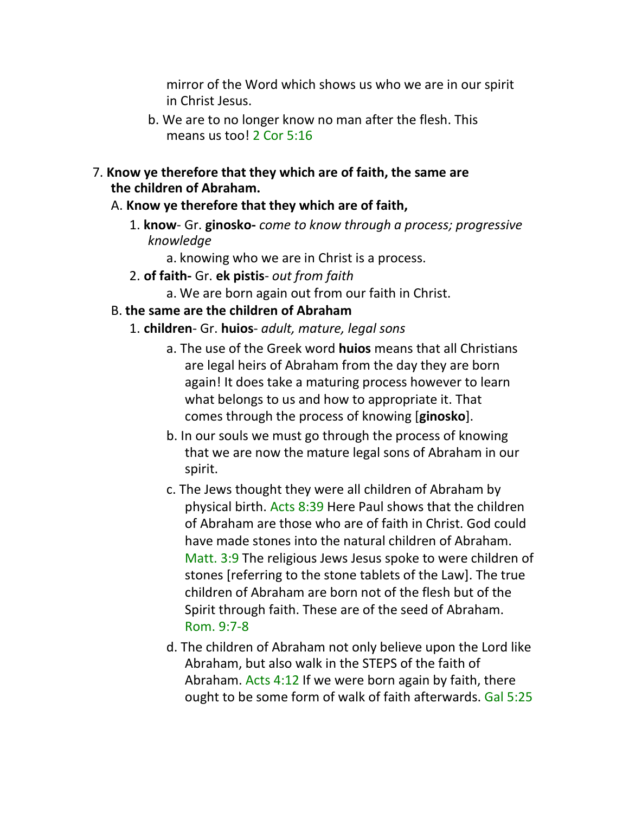mirror of the Word which shows us who we are in our spirit in Christ Jesus.

- b. We are to no longer know no man after the flesh. This means us too! 2 Cor 5:16
- 7. **Know ye therefore that they which are of faith, the same are the children of Abraham.**
	- A. **Know ye therefore that they which are of faith,**
		- 1. **know** Gr. **ginosko-** *come to know through a process; progressive knowledge*
			- a. knowing who we are in Christ is a process.
		- 2. **of faith-** Gr. **ek pistis** *out from faith*
			- a. We are born again out from our faith in Christ.
	- B. **the same are the children of Abraham**
		- 1. **children** Gr. **huios** *adult, mature, legal sons*
			- a. The use of the Greek word **huios** means that all Christians are legal heirs of Abraham from the day they are born again! It does take a maturing process however to learn what belongs to us and how to appropriate it. That comes through the process of knowing [**ginosko**].
			- b. In our souls we must go through the process of knowing that we are now the mature legal sons of Abraham in our spirit.
			- c. The Jews thought they were all children of Abraham by physical birth. Acts 8:39 Here Paul shows that the children of Abraham are those who are of faith in Christ. God could have made stones into the natural children of Abraham. Matt. 3:9 The religious Jews Jesus spoke to were children of stones [referring to the stone tablets of the Law]. The true children of Abraham are born not of the flesh but of the Spirit through faith. These are of the seed of Abraham. Rom. 9:7-8
			- d. The children of Abraham not only believe upon the Lord like Abraham, but also walk in the STEPS of the faith of Abraham. Acts 4:12 If we were born again by faith, there ought to be some form of walk of faith afterwards. Gal 5:25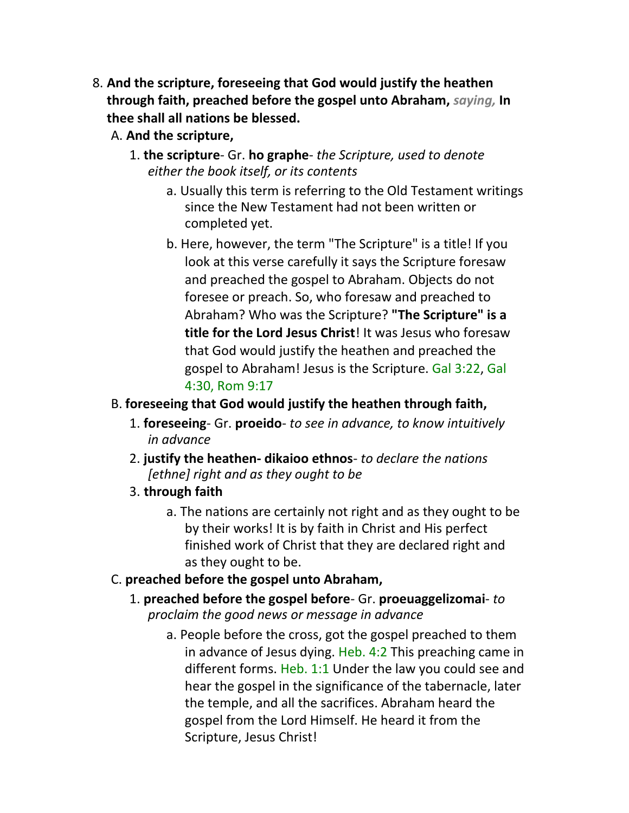- 8. **And the scripture, foreseeing that God would justify the heathen through faith, preached before the gospel unto Abraham,** *saying,* **In thee shall all nations be blessed.**
	- A. **And the scripture,**
		- 1. **the scripture** Gr. **ho graphe** *the Scripture, used to denote either the book itself, or its contents*
			- a. Usually this term is referring to the Old Testament writings since the New Testament had not been written or completed yet.
			- b. Here, however, the term "The Scripture" is a title! If you look at this verse carefully it says the Scripture foresaw and preached the gospel to Abraham. Objects do not foresee or preach. So, who foresaw and preached to Abraham? Who was the Scripture? **"The Scripture" is a title for the Lord Jesus Christ**! It was Jesus who foresaw that God would justify the heathen and preached the gospel to Abraham! Jesus is the Scripture. Gal 3:22, Gal 4:30, Rom 9:17
	- B. **foreseeing that God would justify the heathen through faith,**
		- 1. **foreseeing** Gr. **proeido** *to see in advance, to know intuitively in advance*
		- 2. **justify the heathen- dikaioo ethnos** *to declare the nations [ethne] right and as they ought to be*
		- 3. **through faith**
			- a. The nations are certainly not right and as they ought to be by their works! It is by faith in Christ and His perfect finished work of Christ that they are declared right and as they ought to be.
	- C. **preached before the gospel unto Abraham,**
		- 1. **preached before the gospel before** Gr. **proeuaggelizomai** *to proclaim the good news or message in advance*
			- a. People before the cross, got the gospel preached to them in advance of Jesus dying. Heb. 4:2 This preaching came in different forms. Heb. 1:1 Under the law you could see and hear the gospel in the significance of the tabernacle, later the temple, and all the sacrifices. Abraham heard the gospel from the Lord Himself. He heard it from the Scripture, Jesus Christ!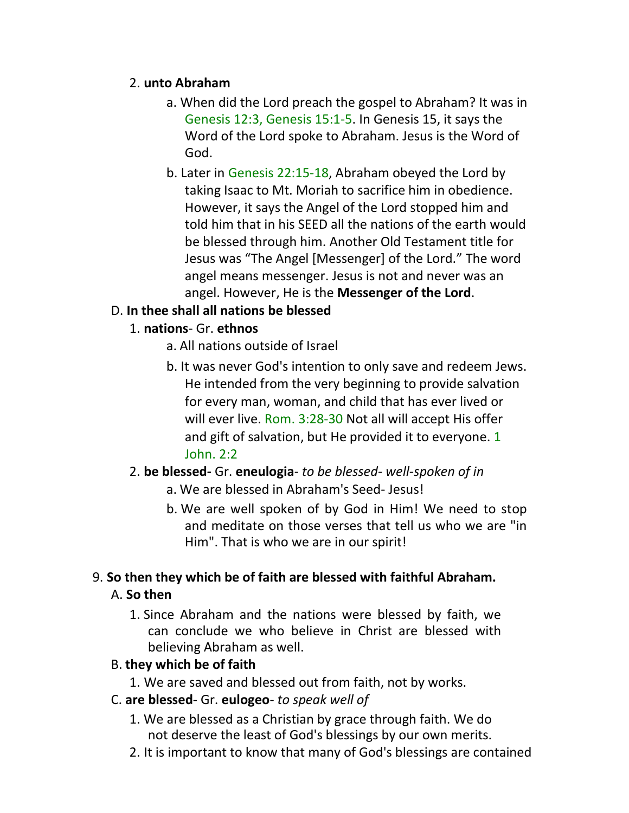## 2. **unto Abraham**

- a. When did the Lord preach the gospel to Abraham? It was in Genesis 12:3, Genesis 15:1-5. In Genesis 15, it says the Word of the Lord spoke to Abraham. Jesus is the Word of God.
- b. Later in Genesis 22:15-18, Abraham obeyed the Lord by taking Isaac to Mt. Moriah to sacrifice him in obedience. However, it says the Angel of the Lord stopped him and told him that in his SEED all the nations of the earth would be blessed through him. Another Old Testament title for Jesus was "The Angel [Messenger] of the Lord." The word angel means messenger. Jesus is not and never was an angel. However, He is the **Messenger of the Lord**.

# D. **In thee shall all nations be blessed**

# 1. **nations**- Gr. **ethnos**

- a. All nations outside of Israel
- b. It was never God's intention to only save and redeem Jews. He intended from the very beginning to provide salvation for every man, woman, and child that has ever lived or will ever live. Rom. 3:28-30 Not all will accept His offer and gift of salvation, but He provided it to everyone. 1 John. 2:2

#### 2. **be blessed-** Gr. **eneulogia**- *to be blessed- well-spoken of in*

- a. We are blessed in Abraham's Seed- Jesus!
- b. We are well spoken of by God in Him! We need to stop and meditate on those verses that tell us who we are "in Him". That is who we are in our spirit!

# 9. **So then they which be of faith are blessed with faithful Abraham.**

### A. **So then**

1. Since Abraham and the nations were blessed by faith, we can conclude we who believe in Christ are blessed with believing Abraham as well.

#### B. **they which be of faith**

1. We are saved and blessed out from faith, not by works.

#### C. **are blessed**- Gr. **eulogeo**- *to speak well of*

- 1. We are blessed as a Christian by grace through faith. We do not deserve the least of God's blessings by our own merits.
- 2. It is important to know that many of God's blessings are contained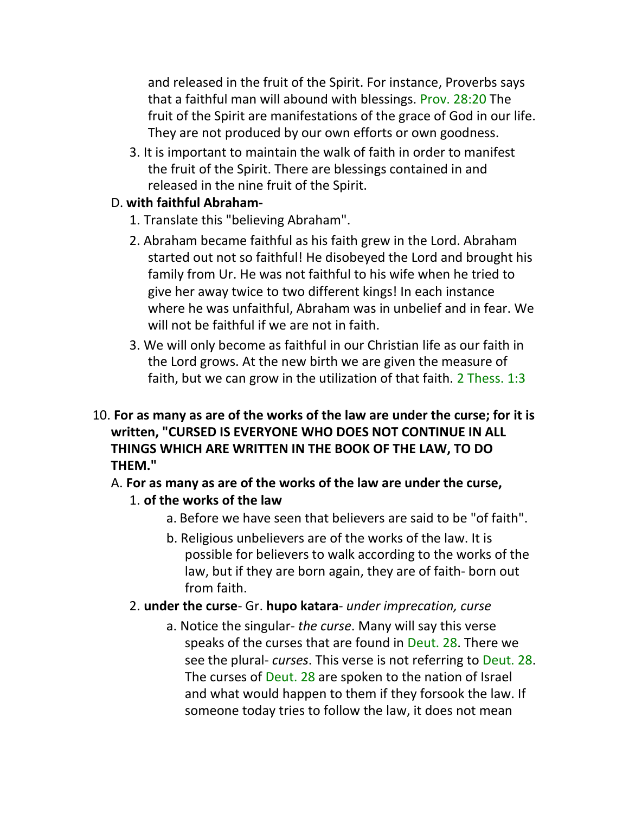and released in the fruit of the Spirit. For instance, Proverbs says that a faithful man will abound with blessings. Prov. 28:20 The fruit of the Spirit are manifestations of the grace of God in our life. They are not produced by our own efforts or own goodness.

3. It is important to maintain the walk of faith in order to manifest the fruit of the Spirit. There are blessings contained in and released in the nine fruit of the Spirit.

# D. **with faithful Abraham-**

- 1. Translate this "believing Abraham".
- 2. Abraham became faithful as his faith grew in the Lord. Abraham started out not so faithful! He disobeyed the Lord and brought his family from Ur. He was not faithful to his wife when he tried to give her away twice to two different kings! In each instance where he was unfaithful, Abraham was in unbelief and in fear. We will not be faithful if we are not in faith.
- 3. We will only become as faithful in our Christian life as our faith in the Lord grows. At the new birth we are given the measure of faith, but we can grow in the utilization of that faith. 2 Thess. 1:3
- 10. **For as many as are of the works of the law are under the curse; for it is written, "CURSED IS EVERYONE WHO DOES NOT CONTINUE IN ALL THINGS WHICH ARE WRITTEN IN THE BOOK OF THE LAW, TO DO THEM."**
	- A. **For as many as are of the works of the law are under the curse,**

# 1. **of the works of the law**

- a. Before we have seen that believers are said to be "of faith".
- b. Religious unbelievers are of the works of the law. It is possible for believers to walk according to the works of the law, but if they are born again, they are of faith- born out from faith.
- 2. **under the curse** Gr. **hupo katara** *under imprecation, curse*
	- a. Notice the singular- *the curse*. Many will say this verse speaks of the curses that are found in Deut. 28. There we see the plural- *curses*. This verse is not referring to Deut. 28. The curses of Deut. 28 are spoken to the nation of Israel and what would happen to them if they forsook the law. If someone today tries to follow the law, it does not mean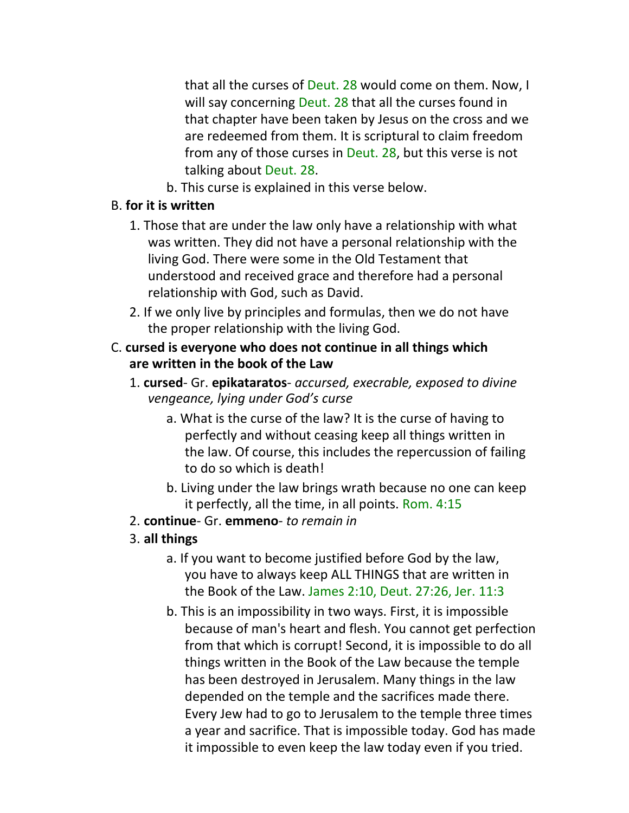that all the curses of Deut. 28 would come on them. Now, I will say concerning Deut. 28 that all the curses found in that chapter have been taken by Jesus on the cross and we are redeemed from them. It is scriptural to claim freedom from any of those curses in Deut. 28, but this verse is not talking about Deut. 28.

b. This curse is explained in this verse below.

## B. **for it is written**

- 1. Those that are under the law only have a relationship with what was written. They did not have a personal relationship with the living God. There were some in the Old Testament that understood and received grace and therefore had a personal relationship with God, such as David.
- 2. If we only live by principles and formulas, then we do not have the proper relationship with the living God.
- C. **cursed is everyone who does not continue in all things which are written in the book of the Law**
	- 1. **cursed** Gr. **epikataratos** *accursed, execrable, exposed to divine vengeance, lying under God's curse*
		- a. What is the curse of the law? It is the curse of having to perfectly and without ceasing keep all things written in the law. Of course, this includes the repercussion of failing to do so which is death!
		- b. Living under the law brings wrath because no one can keep it perfectly, all the time, in all points. Rom. 4:15
	- 2. **continue** Gr. **emmeno** *to remain in*

# 3. **all things**

- a. If you want to become justified before God by the law, you have to always keep ALL THINGS that are written in the Book of the Law. James 2:10, Deut. 27:26, Jer. 11:3
- b. This is an impossibility in two ways. First, it is impossible because of man's heart and flesh. You cannot get perfection from that which is corrupt! Second, it is impossible to do all things written in the Book of the Law because the temple has been destroyed in Jerusalem. Many things in the law depended on the temple and the sacrifices made there. Every Jew had to go to Jerusalem to the temple three times a year and sacrifice. That is impossible today. God has made it impossible to even keep the law today even if you tried.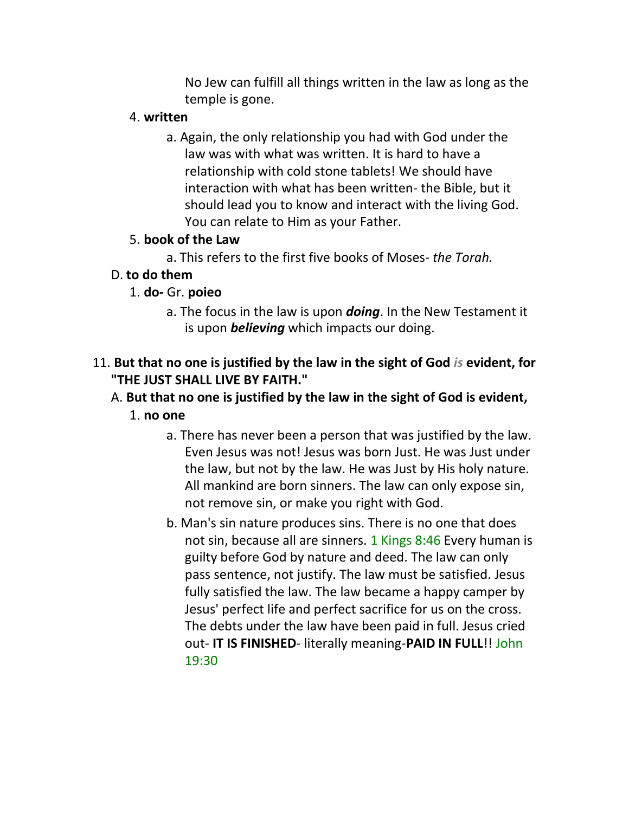No Jew can fulfill all things written in the law as long as the temple is gone.

## 4. **written**

a. Again, the only relationship you had with God under the law was with what was written. It is hard to have a relationship with cold stone tablets! We should have interaction with what has been written- the Bible, but it should lead you to know and interact with the living God. You can relate to Him as your Father.

# 5. **book of the Law**

a. This refers to the first five books of Moses- *the Torah.*

# D. **to do them**

- 1. **do-** Gr. **poieo**
	- a. The focus in the law is upon *doing*. In the New Testament it is upon *believing* which impacts our doing.

# 11. **But that no one is justified by the law in the sight of God** *is* **evident, for "THE JUST SHALL LIVE BY FAITH."**

# A. **But that no one is justified by the law in the sight of God is evident,** 1. **no one**

- a. There has never been a person that was justified by the law. Even Jesus was not! Jesus was born Just. He was Just under the law, but not by the law. He was Just by His holy nature. All mankind are born sinners. The law can only expose sin, not remove sin, or make you right with God.
- b. Man's sin nature produces sins. There is no one that does not sin, because all are sinners. 1 Kings 8:46 Every human is guilty before God by nature and deed. The law can only pass sentence, not justify. The law must be satisfied. Jesus fully satisfied the law. The law became a happy camper by Jesus' perfect life and perfect sacrifice for us on the cross. The debts under the law have been paid in full. Jesus cried out- **IT IS FINISHED**- literally meaning-**PAID IN FULL**!! John 19:30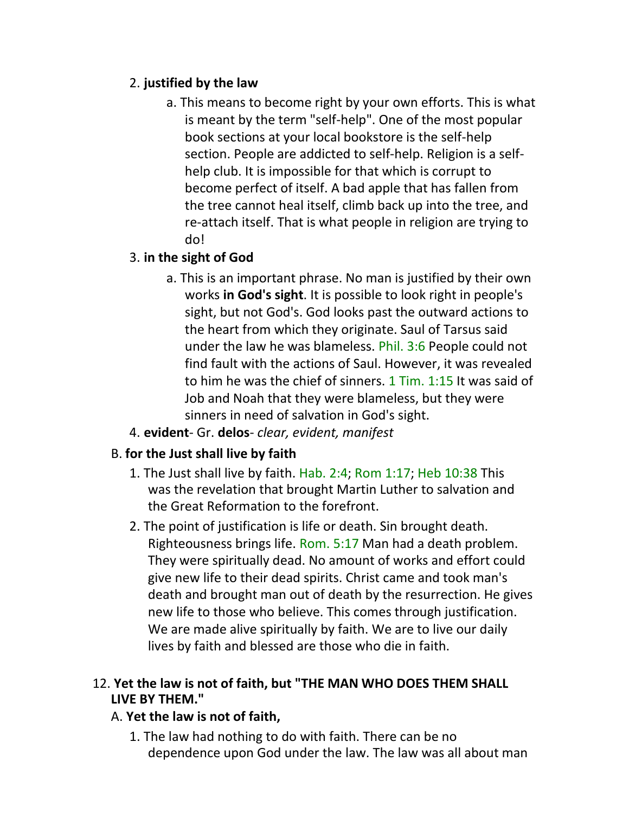# 2. **justified by the law**

a. This means to become right by your own efforts. This is what is meant by the term "self-help". One of the most popular book sections at your local bookstore is the self-help section. People are addicted to self-help. Religion is a selfhelp club. It is impossible for that which is corrupt to become perfect of itself. A bad apple that has fallen from the tree cannot heal itself, climb back up into the tree, and re-attach itself. That is what people in religion are trying to do!

# 3. **in the sight of God**

- a. This is an important phrase. No man is justified by their own works **in God's sight**. It is possible to look right in people's sight, but not God's. God looks past the outward actions to the heart from which they originate. Saul of Tarsus said under the law he was blameless. Phil. 3:6 People could not find fault with the actions of Saul. However, it was revealed to him he was the chief of sinners. 1 Tim. 1:15 It was said of Job and Noah that they were blameless, but they were sinners in need of salvation in God's sight.
- 4. **evident** Gr. **delos** *clear, evident, manifest*

# B. **for the Just shall live by faith**

- 1. The Just shall live by faith. Hab. 2:4; Rom 1:17; Heb 10:38 This was the revelation that brought Martin Luther to salvation and the Great Reformation to the forefront.
- 2. The point of justification is life or death. Sin brought death. Righteousness brings life. Rom. 5:17 Man had a death problem. They were spiritually dead. No amount of works and effort could give new life to their dead spirits. Christ came and took man's death and brought man out of death by the resurrection. He gives new life to those who believe. This comes through justification. We are made alive spiritually by faith. We are to live our daily lives by faith and blessed are those who die in faith.

# 12. **Yet the law is not of faith, but "THE MAN WHO DOES THEM SHALL LIVE BY THEM."**

# A. **Yet the law is not of faith,**

1. The law had nothing to do with faith. There can be no dependence upon God under the law. The law was all about man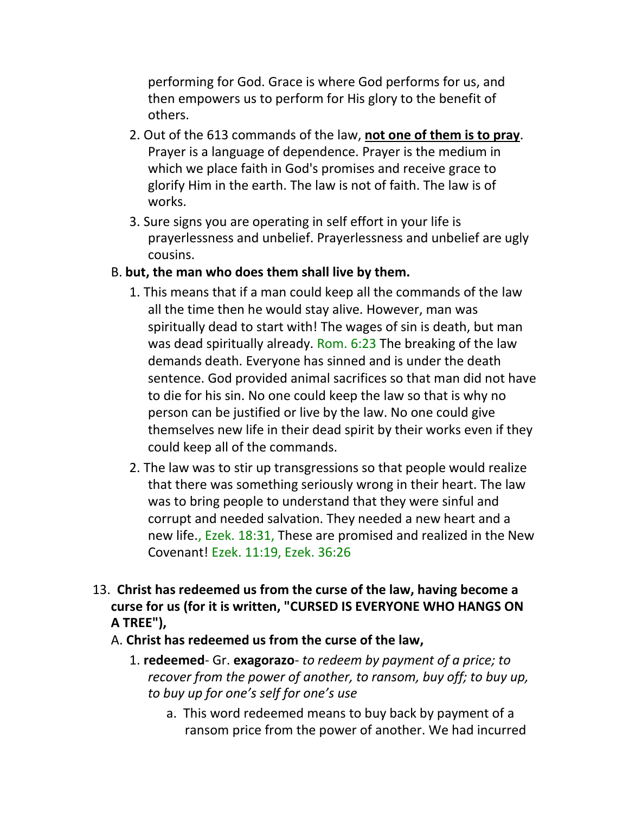performing for God. Grace is where God performs for us, and then empowers us to perform for His glory to the benefit of others.

- 2. Out of the 613 commands of the law, **not one of them is to pray**. Prayer is a language of dependence. Prayer is the medium in which we place faith in God's promises and receive grace to glorify Him in the earth. The law is not of faith. The law is of works.
- 3. Sure signs you are operating in self effort in your life is prayerlessness and unbelief. Prayerlessness and unbelief are ugly cousins.

## B. **but, the man who does them shall live by them.**

- 1. This means that if a man could keep all the commands of the law all the time then he would stay alive. However, man was spiritually dead to start with! The wages of sin is death, but man was dead spiritually already. Rom. 6:23 The breaking of the law demands death. Everyone has sinned and is under the death sentence. God provided animal sacrifices so that man did not have to die for his sin. No one could keep the law so that is why no person can be justified or live by the law. No one could give themselves new life in their dead spirit by their works even if they could keep all of the commands.
- 2. The law was to stir up transgressions so that people would realize that there was something seriously wrong in their heart. The law was to bring people to understand that they were sinful and corrupt and needed salvation. They needed a new heart and a new life., Ezek. 18:31, These are promised and realized in the New Covenant! Ezek. 11:19, Ezek. 36:26
- 13. **Christ has redeemed us from the curse of the law, having become a curse for us (for it is written, "CURSED IS EVERYONE WHO HANGS ON A TREE"),**
	- A. **Christ has redeemed us from the curse of the law,**
		- 1. **redeemed** Gr. **exagorazo** *to redeem by payment of a price; to recover from the power of another, to ransom, buy off; to buy up, to buy up for one's self for one's use*
			- a. This word redeemed means to buy back by payment of a ransom price from the power of another. We had incurred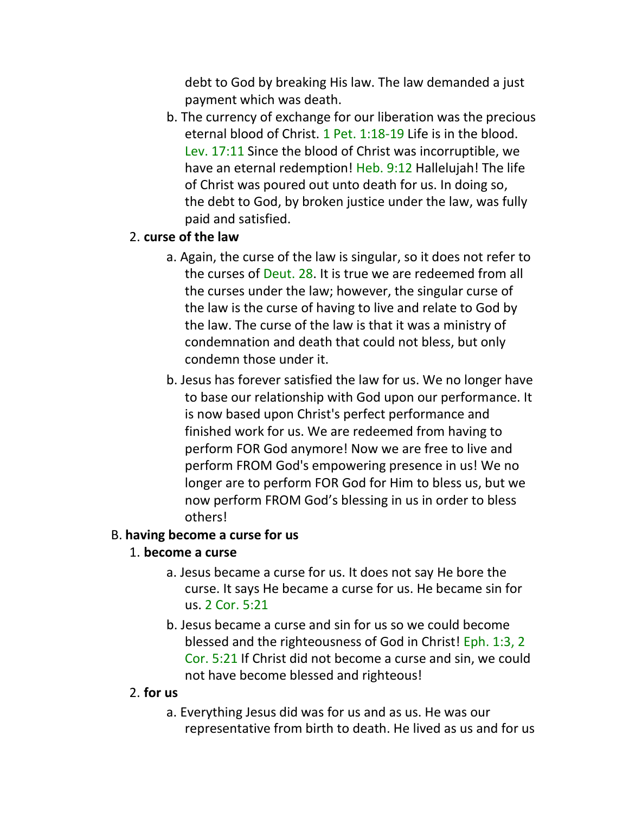debt to God by breaking His law. The law demanded a just payment which was death.

b. The currency of exchange for our liberation was the precious eternal blood of Christ. 1 Pet. 1:18-19 Life is in the blood. Lev. 17:11 Since the blood of Christ was incorruptible, we have an eternal redemption! Heb. 9:12 Hallelujah! The life of Christ was poured out unto death for us. In doing so, the debt to God, by broken justice under the law, was fully paid and satisfied.

## 2. **curse of the law**

- a. Again, the curse of the law is singular, so it does not refer to the curses of Deut. 28. It is true we are redeemed from all the curses under the law; however, the singular curse of the law is the curse of having to live and relate to God by the law. The curse of the law is that it was a ministry of condemnation and death that could not bless, but only condemn those under it.
- b. Jesus has forever satisfied the law for us. We no longer have to base our relationship with God upon our performance. It is now based upon Christ's perfect performance and finished work for us. We are redeemed from having to perform FOR God anymore! Now we are free to live and perform FROM God's empowering presence in us! We no longer are to perform FOR God for Him to bless us, but we now perform FROM God's blessing in us in order to bless others!

#### B. **having become a curse for us**

#### 1. **become a curse**

- a. Jesus became a curse for us. It does not say He bore the curse. It says He became a curse for us. He became sin for us. 2 Cor. 5:21
- b. Jesus became a curse and sin for us so we could become blessed and the righteousness of God in Christ! Eph. 1:3, 2 Cor. 5:21 If Christ did not become a curse and sin, we could not have become blessed and righteous!

#### 2. **for us**

a. Everything Jesus did was for us and as us. He was our representative from birth to death. He lived as us and for us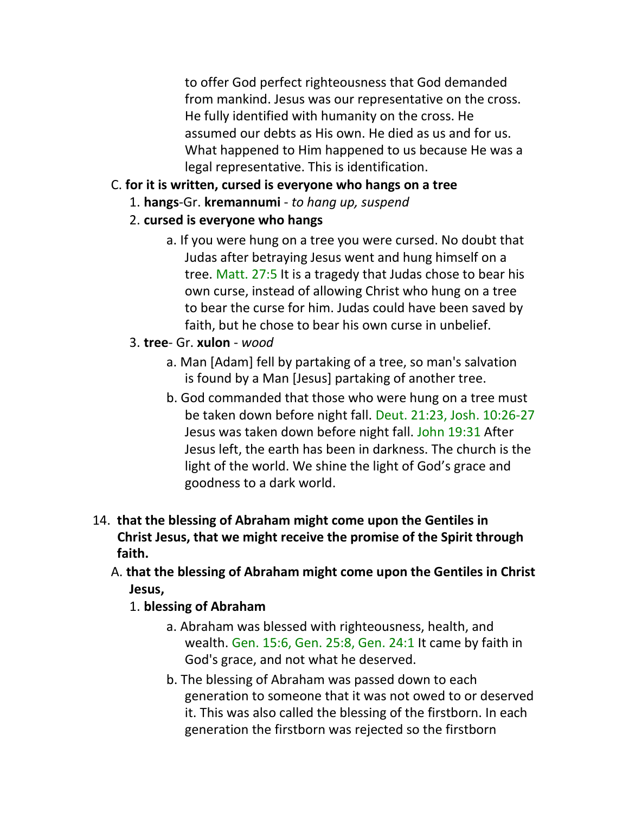to offer God perfect righteousness that God demanded from mankind. Jesus was our representative on the cross. He fully identified with humanity on the cross. He assumed our debts as His own. He died as us and for us. What happened to Him happened to us because He was a legal representative. This is identification.

- C. **for it is written, cursed is everyone who hangs on a tree**
	- 1. **hangs**-Gr. **kremannumi** *to hang up, suspend*
	- 2. **cursed is everyone who hangs**
		- a. If you were hung on a tree you were cursed. No doubt that Judas after betraying Jesus went and hung himself on a tree. Matt. 27:5 It is a tragedy that Judas chose to bear his own curse, instead of allowing Christ who hung on a tree to bear the curse for him. Judas could have been saved by faith, but he chose to bear his own curse in unbelief.
	- 3. **tree** Gr. **xulon** *wood*
		- a. Man [Adam] fell by partaking of a tree, so man's salvation is found by a Man [Jesus] partaking of another tree.
		- b. God commanded that those who were hung on a tree must be taken down before night fall. Deut. 21:23, Josh. 10:26-27 Jesus was taken down before night fall. John 19:31 After Jesus left, the earth has been in darkness. The church is the light of the world. We shine the light of God's grace and goodness to a dark world.
- 14. **that the blessing of Abraham might come upon the Gentiles in Christ Jesus, that we might receive the promise of the Spirit through faith.** 
	- A. **that the blessing of Abraham might come upon the Gentiles in Christ Jesus,**
		- 1. **blessing of Abraham**
			- a. Abraham was blessed with righteousness, health, and wealth. Gen. 15:6, Gen. 25:8, Gen. 24:1 It came by faith in God's grace, and not what he deserved.
			- b. The blessing of Abraham was passed down to each generation to someone that it was not owed to or deserved it. This was also called the blessing of the firstborn. In each generation the firstborn was rejected so the firstborn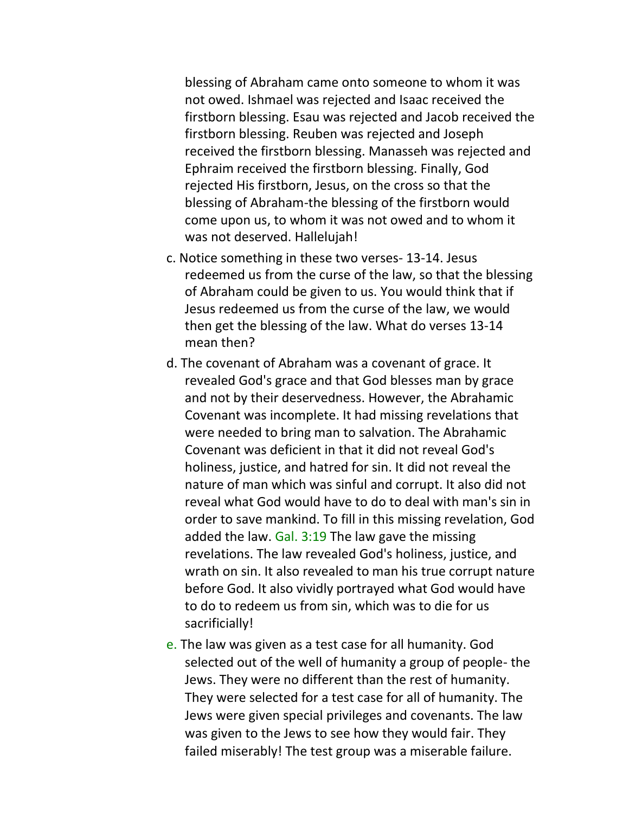blessing of Abraham came onto someone to whom it was not owed. Ishmael was rejected and Isaac received the firstborn blessing. Esau was rejected and Jacob received the firstborn blessing. Reuben was rejected and Joseph received the firstborn blessing. Manasseh was rejected and Ephraim received the firstborn blessing. Finally, God rejected His firstborn, Jesus, on the cross so that the blessing of Abraham-the blessing of the firstborn would come upon us, to whom it was not owed and to whom it was not deserved. Hallelujah!

- c. Notice something in these two verses- 13-14. Jesus redeemed us from the curse of the law, so that the blessing of Abraham could be given to us. You would think that if Jesus redeemed us from the curse of the law, we would then get the blessing of the law. What do verses 13-14 mean then?
- d. The covenant of Abraham was a covenant of grace. It revealed God's grace and that God blesses man by grace and not by their deservedness. However, the Abrahamic Covenant was incomplete. It had missing revelations that were needed to bring man to salvation. The Abrahamic Covenant was deficient in that it did not reveal God's holiness, justice, and hatred for sin. It did not reveal the nature of man which was sinful and corrupt. It also did not reveal what God would have to do to deal with man's sin in order to save mankind. To fill in this missing revelation, God added the law. Gal. 3:19 The law gave the missing revelations. The law revealed God's holiness, justice, and wrath on sin. It also revealed to man his true corrupt nature before God. It also vividly portrayed what God would have to do to redeem us from sin, which was to die for us sacrificially!
- e. The law was given as a test case for all humanity. God selected out of the well of humanity a group of people- the Jews. They were no different than the rest of humanity. They were selected for a test case for all of humanity. The Jews were given special privileges and covenants. The law was given to the Jews to see how they would fair. They failed miserably! The test group was a miserable failure.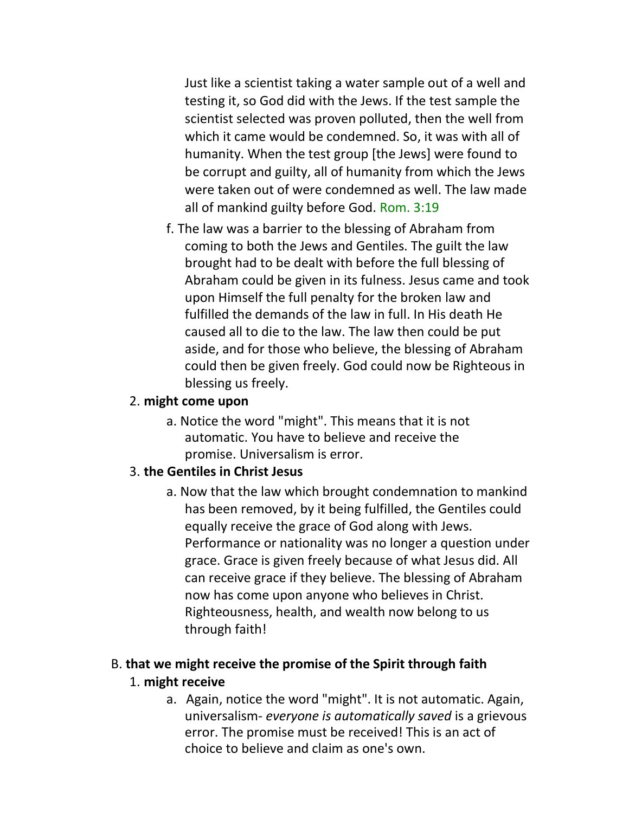Just like a scientist taking a water sample out of a well and testing it, so God did with the Jews. If the test sample the scientist selected was proven polluted, then the well from which it came would be condemned. So, it was with all of humanity. When the test group [the Jews] were found to be corrupt and guilty, all of humanity from which the Jews were taken out of were condemned as well. The law made all of mankind guilty before God. Rom. 3:19

f. The law was a barrier to the blessing of Abraham from coming to both the Jews and Gentiles. The guilt the law brought had to be dealt with before the full blessing of Abraham could be given in its fulness. Jesus came and took upon Himself the full penalty for the broken law and fulfilled the demands of the law in full. In His death He caused all to die to the law. The law then could be put aside, and for those who believe, the blessing of Abraham could then be given freely. God could now be Righteous in blessing us freely.

#### 2. **might come upon**

a. Notice the word "might". This means that it is not automatic. You have to believe and receive the promise. Universalism is error.

#### 3. **the Gentiles in Christ Jesus**

a. Now that the law which brought condemnation to mankind has been removed, by it being fulfilled, the Gentiles could equally receive the grace of God along with Jews. Performance or nationality was no longer a question under grace. Grace is given freely because of what Jesus did. All can receive grace if they believe. The blessing of Abraham now has come upon anyone who believes in Christ. Righteousness, health, and wealth now belong to us through faith!

# B. **that we might receive the promise of the Spirit through faith**

#### 1. **might receive**

a. Again, notice the word "might". It is not automatic. Again, universalism- *everyone is automatically saved* is a grievous error. The promise must be received! This is an act of choice to believe and claim as one's own.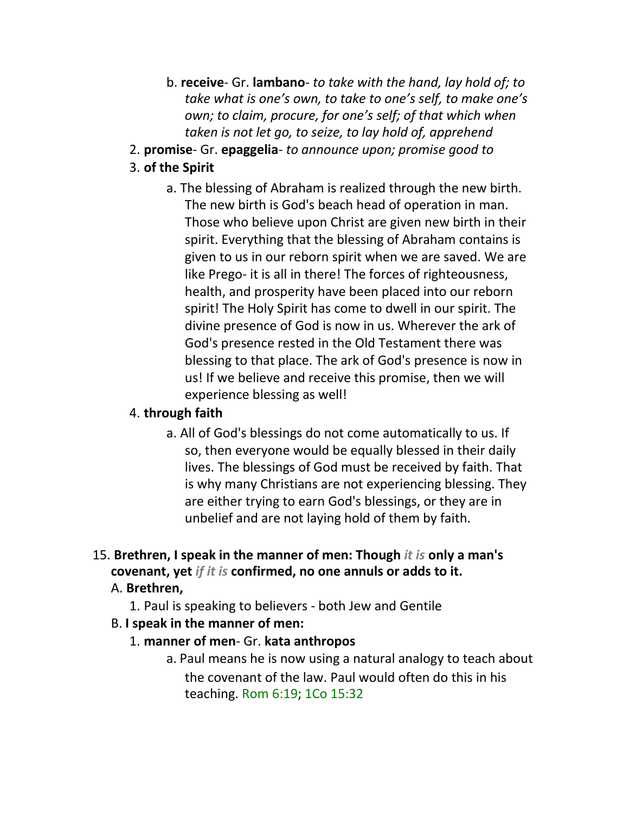- b. **receive** Gr. **lambano** *to take with the hand, lay hold of; to take what is one's own, to take to one's self, to make one's own; to claim, procure, for one's self; of that which when taken is not let go, to seize, to lay hold of, apprehend*
- 2. **promise** Gr. **epaggelia** *to announce upon; promise good to*

# 3. **of the Spirit**

a. The blessing of Abraham is realized through the new birth. The new birth is God's beach head of operation in man. Those who believe upon Christ are given new birth in their spirit. Everything that the blessing of Abraham contains is given to us in our reborn spirit when we are saved. We are like Prego- it is all in there! The forces of righteousness, health, and prosperity have been placed into our reborn spirit! The Holy Spirit has come to dwell in our spirit. The divine presence of God is now in us. Wherever the ark of God's presence rested in the Old Testament there was blessing to that place. The ark of God's presence is now in us! If we believe and receive this promise, then we will experience blessing as well!

#### 4. **through faith**

- a. All of God's blessings do not come automatically to us. If so, then everyone would be equally blessed in their daily lives. The blessings of God must be received by faith. That is why many Christians are not experiencing blessing. They are either trying to earn God's blessings, or they are in unbelief and are not laying hold of them by faith.
- 15. **Brethren, I speak in the manner of men: Though** *it is* **only a man's covenant, yet** *if it is* **confirmed, no one annuls or adds to it.**

#### A. **Brethren,**

- 1. Paul is speaking to believers both Jew and Gentile
- B. **I speak in the manner of men:**

# 1. **manner of men**- Gr. **kata anthropos**

a. Paul means he is now using a natural analogy to teach about the covenant of the law. Paul would often do this in his teaching. Rom 6:19; 1Co 15:32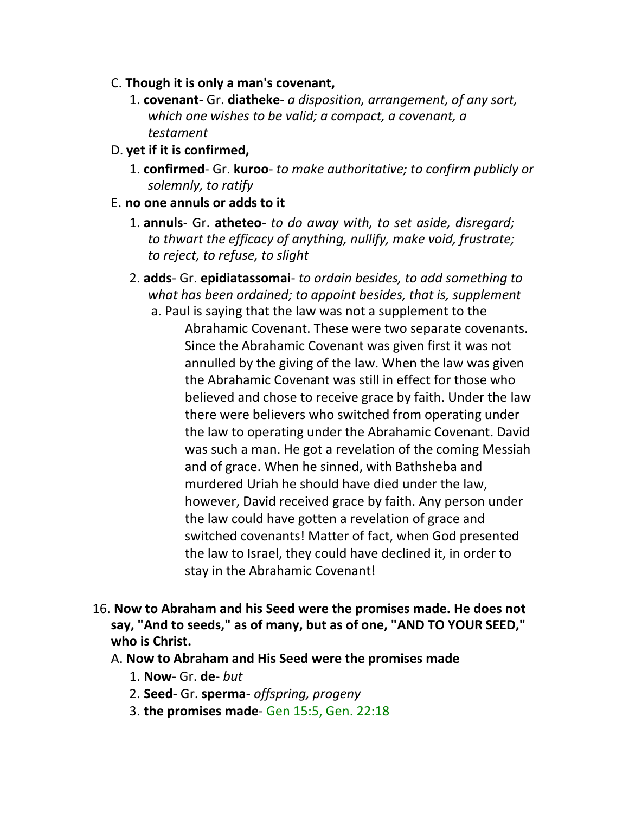- C. **Though it is only a man's covenant,**
	- 1. **covenant** Gr. **diatheke** *a disposition, arrangement, of any sort, which one wishes to be valid; a compact, a covenant, a testament*
- D. **yet if it is confirmed,**
	- 1. **confirmed** Gr. **kuroo** *to make authoritative; to confirm publicly or solemnly, to ratify*
- E. **no one annuls or adds to it**
	- 1. **annuls** Gr. **atheteo** *to do away with, to set aside, disregard; to thwart the efficacy of anything, nullify, make void, frustrate; to reject, to refuse, to slight*
	- 2. **adds** Gr. **epidiatassomai** *to ordain besides, to add something to what has been ordained; to appoint besides, that is, supplement*

a. Paul is saying that the law was not a supplement to the Abrahamic Covenant. These were two separate covenants. Since the Abrahamic Covenant was given first it was not annulled by the giving of the law. When the law was given the Abrahamic Covenant was still in effect for those who believed and chose to receive grace by faith. Under the law there were believers who switched from operating under the law to operating under the Abrahamic Covenant. David was such a man. He got a revelation of the coming Messiah and of grace. When he sinned, with Bathsheba and murdered Uriah he should have died under the law, however, David received grace by faith. Any person under the law could have gotten a revelation of grace and switched covenants! Matter of fact, when God presented the law to Israel, they could have declined it, in order to stay in the Abrahamic Covenant!

- 16. **Now to Abraham and his Seed were the promises made. He does not say, "And to seeds," as of many, but as of one, "AND TO YOUR SEED," who is Christ.**
	- A. **Now to Abraham and His Seed were the promises made**
		- 1. **Now** Gr. **de** *but*
		- 2. **Seed** Gr. **sperma** *offspring, progeny*
		- 3. **the promises made** Gen 15:5, Gen. 22:18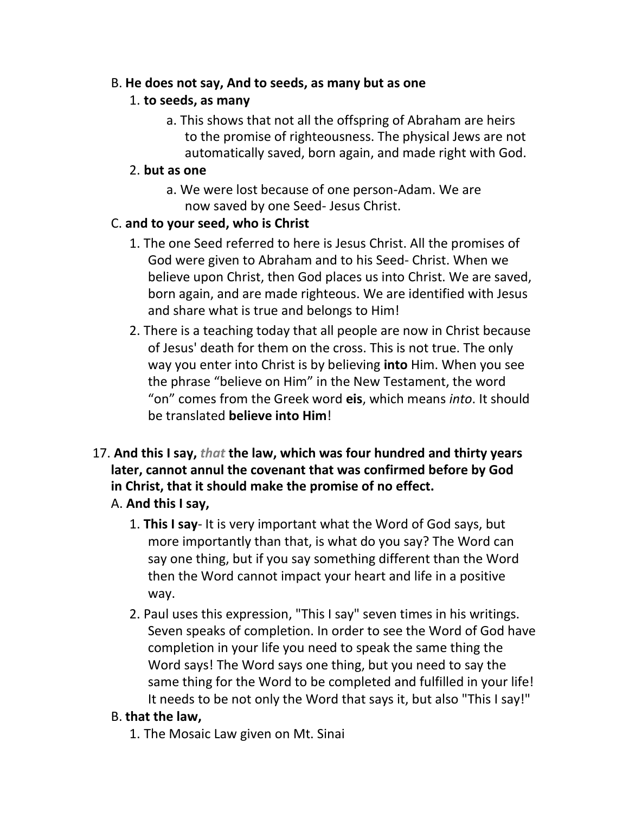### B. **He does not say, And to seeds, as many but as one**

# 1. **to seeds, as many**

a. This shows that not all the offspring of Abraham are heirs to the promise of righteousness. The physical Jews are not automatically saved, born again, and made right with God.

# 2. **but as one**

a. We were lost because of one person-Adam. We are now saved by one Seed- Jesus Christ.

# C. **and to your seed, who is Christ**

- 1. The one Seed referred to here is Jesus Christ. All the promises of God were given to Abraham and to his Seed- Christ. When we believe upon Christ, then God places us into Christ. We are saved, born again, and are made righteous. We are identified with Jesus and share what is true and belongs to Him!
- 2. There is a teaching today that all people are now in Christ because of Jesus' death for them on the cross. This is not true. The only way you enter into Christ is by believing **into** Him. When you see the phrase "believe on Him" in the New Testament, the word "on" comes from the Greek word **eis**, which means *into*. It should be translated **believe into Him**!
- 17. **And this I say,** *that* **the law, which was four hundred and thirty years later, cannot annul the covenant that was confirmed before by God in Christ, that it should make the promise of no effect.**
	- A. **And this I say,**
		- 1. **This I say** It is very important what the Word of God says, but more importantly than that, is what do you say? The Word can say one thing, but if you say something different than the Word then the Word cannot impact your heart and life in a positive way.
		- 2. Paul uses this expression, "This I say" seven times in his writings. Seven speaks of completion. In order to see the Word of God have completion in your life you need to speak the same thing the Word says! The Word says one thing, but you need to say the same thing for the Word to be completed and fulfilled in your life! It needs to be not only the Word that says it, but also "This I say!"

# B. **that the law,**

1. The Mosaic Law given on Mt. Sinai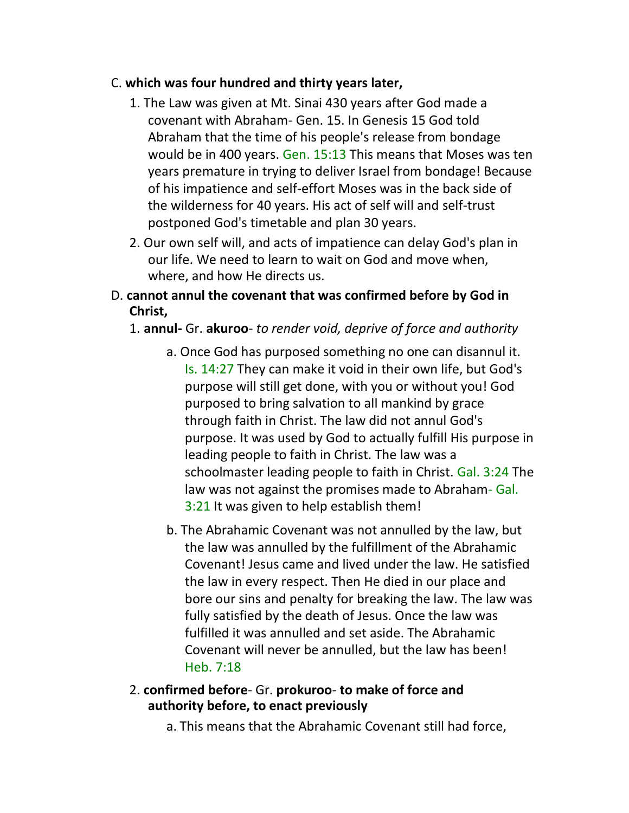### C. **which was four hundred and thirty years later,**

- 1. The Law was given at Mt. Sinai 430 years after God made a covenant with Abraham- Gen. 15. In Genesis 15 God told Abraham that the time of his people's release from bondage would be in 400 years. Gen. 15:13 This means that Moses was ten years premature in trying to deliver Israel from bondage! Because of his impatience and self-effort Moses was in the back side of the wilderness for 40 years. His act of self will and self-trust postponed God's timetable and plan 30 years.
- 2. Our own self will, and acts of impatience can delay God's plan in our life. We need to learn to wait on God and move when, where, and how He directs us.
- D. **cannot annul the covenant that was confirmed before by God in Christ,**

## 1. **annul-** Gr. **akuroo**- *to render void, deprive of force and authority*

- a. Once God has purposed something no one can disannul it. Is. 14:27 They can make it void in their own life, but God's purpose will still get done, with you or without you! God purposed to bring salvation to all mankind by grace through faith in Christ. The law did not annul God's purpose. It was used by God to actually fulfill His purpose in leading people to faith in Christ. The law was a schoolmaster leading people to faith in Christ. Gal. 3:24 The law was not against the promises made to Abraham- Gal. 3:21 It was given to help establish them!
- b. The Abrahamic Covenant was not annulled by the law, but the law was annulled by the fulfillment of the Abrahamic Covenant! Jesus came and lived under the law. He satisfied the law in every respect. Then He died in our place and bore our sins and penalty for breaking the law. The law was fully satisfied by the death of Jesus. Once the law was fulfilled it was annulled and set aside. The Abrahamic Covenant will never be annulled, but the law has been! Heb. 7:18

#### 2. **confirmed before**- Gr. **prokuroo**- **to make of force and authority before, to enact previously**

a. This means that the Abrahamic Covenant still had force,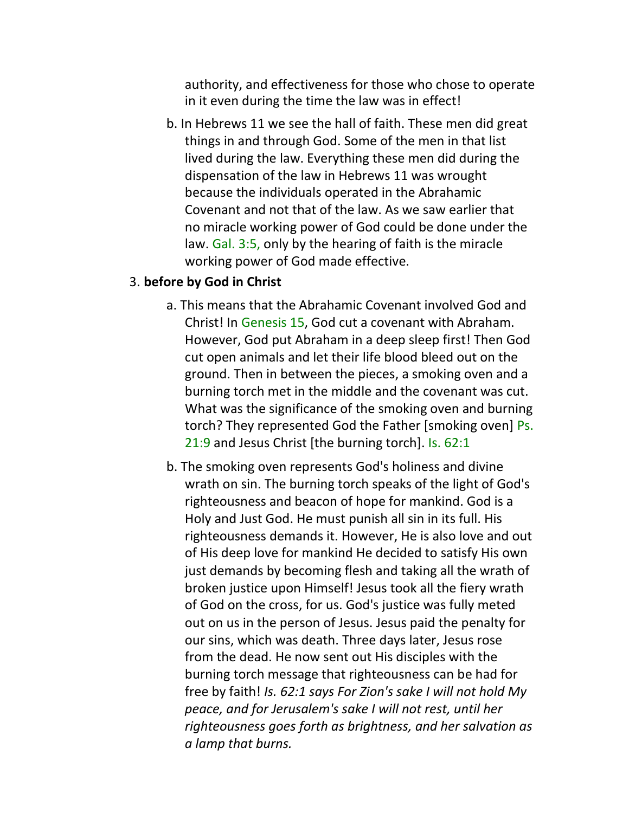authority, and effectiveness for those who chose to operate in it even during the time the law was in effect!

b. In Hebrews 11 we see the hall of faith. These men did great things in and through God. Some of the men in that list lived during the law. Everything these men did during the dispensation of the law in Hebrews 11 was wrought because the individuals operated in the Abrahamic Covenant and not that of the law. As we saw earlier that no miracle working power of God could be done under the law. Gal. 3:5, only by the hearing of faith is the miracle working power of God made effective.

#### 3. **before by God in Christ**

- a. This means that the Abrahamic Covenant involved God and Christ! In Genesis 15, God cut a covenant with Abraham. However, God put Abraham in a deep sleep first! Then God cut open animals and let their life blood bleed out on the ground. Then in between the pieces, a smoking oven and a burning torch met in the middle and the covenant was cut. What was the significance of the smoking oven and burning torch? They represented God the Father [smoking oven] Ps. 21:9 and Jesus Christ [the burning torch]. Is. 62:1
- b. The smoking oven represents God's holiness and divine wrath on sin. The burning torch speaks of the light of God's righteousness and beacon of hope for mankind. God is a Holy and Just God. He must punish all sin in its full. His righteousness demands it. However, He is also love and out of His deep love for mankind He decided to satisfy His own just demands by becoming flesh and taking all the wrath of broken justice upon Himself! Jesus took all the fiery wrath of God on the cross, for us. God's justice was fully meted out on us in the person of Jesus. Jesus paid the penalty for our sins, which was death. Three days later, Jesus rose from the dead. He now sent out His disciples with the burning torch message that righteousness can be had for free by faith! *Is. 62:1 says For Zion's sake I will not hold My peace, and for Jerusalem's sake I will not rest, until her righteousness goes forth as brightness, and her salvation as a lamp that burns.*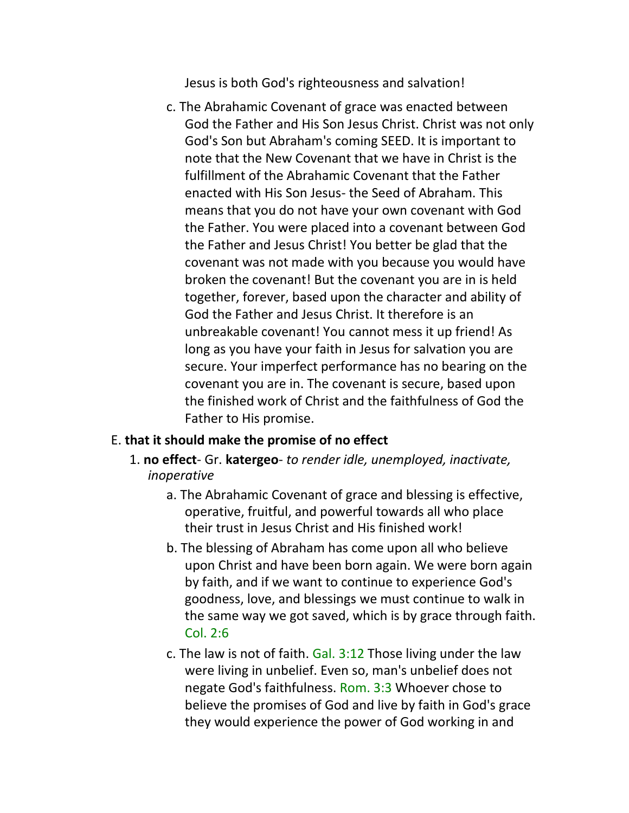Jesus is both God's righteousness and salvation!

c. The Abrahamic Covenant of grace was enacted between God the Father and His Son Jesus Christ. Christ was not only God's Son but Abraham's coming SEED. It is important to note that the New Covenant that we have in Christ is the fulfillment of the Abrahamic Covenant that the Father enacted with His Son Jesus- the Seed of Abraham. This means that you do not have your own covenant with God the Father. You were placed into a covenant between God the Father and Jesus Christ! You better be glad that the covenant was not made with you because you would have broken the covenant! But the covenant you are in is held together, forever, based upon the character and ability of God the Father and Jesus Christ. It therefore is an unbreakable covenant! You cannot mess it up friend! As long as you have your faith in Jesus for salvation you are secure. Your imperfect performance has no bearing on the covenant you are in. The covenant is secure, based upon the finished work of Christ and the faithfulness of God the Father to His promise.

#### E. **that it should make the promise of no effect**

- 1. **no effect** Gr. **katergeo** *to render idle, unemployed, inactivate, inoperative*
	- a. The Abrahamic Covenant of grace and blessing is effective, operative, fruitful, and powerful towards all who place their trust in Jesus Christ and His finished work!
	- b. The blessing of Abraham has come upon all who believe upon Christ and have been born again. We were born again by faith, and if we want to continue to experience God's goodness, love, and blessings we must continue to walk in the same way we got saved, which is by grace through faith. Col. 2:6
	- c. The law is not of faith. Gal. 3:12 Those living under the law were living in unbelief. Even so, man's unbelief does not negate God's faithfulness. Rom. 3:3 Whoever chose to believe the promises of God and live by faith in God's grace they would experience the power of God working in and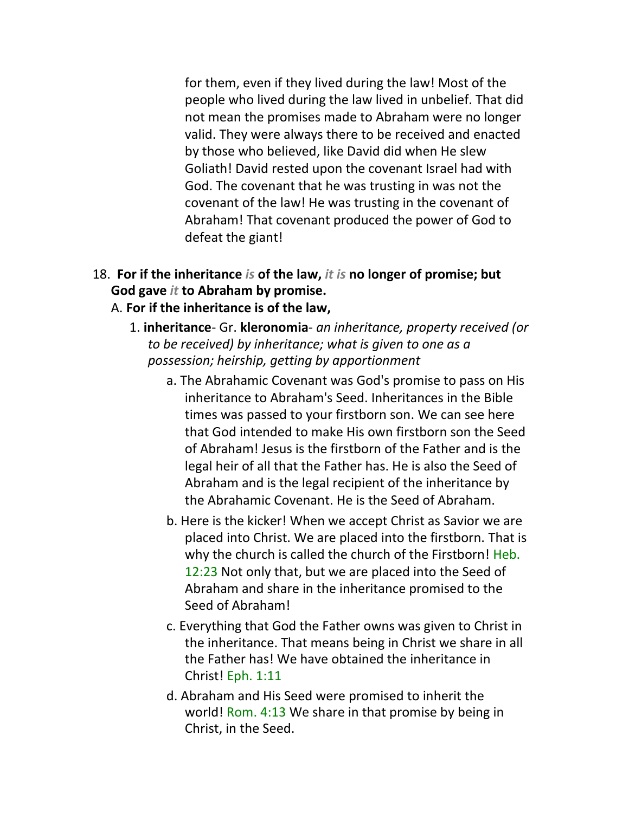for them, even if they lived during the law! Most of the people who lived during the law lived in unbelief. That did not mean the promises made to Abraham were no longer valid. They were always there to be received and enacted by those who believed, like David did when He slew Goliath! David rested upon the covenant Israel had with God. The covenant that he was trusting in was not the covenant of the law! He was trusting in the covenant of Abraham! That covenant produced the power of God to defeat the giant!

- 18. **For if the inheritance** *is* **of the law,** *it is* **no longer of promise; but God gave** *it* **to Abraham by promise.**
	- A. **For if the inheritance is of the law,**
		- 1. **inheritance** Gr. **kleronomia** *an inheritance, property received (or to be received) by inheritance; what is given to one as a possession; heirship, getting by apportionment*
			- a. The Abrahamic Covenant was God's promise to pass on His inheritance to Abraham's Seed. Inheritances in the Bible times was passed to your firstborn son. We can see here that God intended to make His own firstborn son the Seed of Abraham! Jesus is the firstborn of the Father and is the legal heir of all that the Father has. He is also the Seed of Abraham and is the legal recipient of the inheritance by the Abrahamic Covenant. He is the Seed of Abraham.
			- b. Here is the kicker! When we accept Christ as Savior we are placed into Christ. We are placed into the firstborn. That is why the church is called the church of the Firstborn! Heb. 12:23 Not only that, but we are placed into the Seed of Abraham and share in the inheritance promised to the Seed of Abraham!
			- c. Everything that God the Father owns was given to Christ in the inheritance. That means being in Christ we share in all the Father has! We have obtained the inheritance in Christ! Eph. 1:11
			- d. Abraham and His Seed were promised to inherit the world! Rom. 4:13 We share in that promise by being in Christ, in the Seed.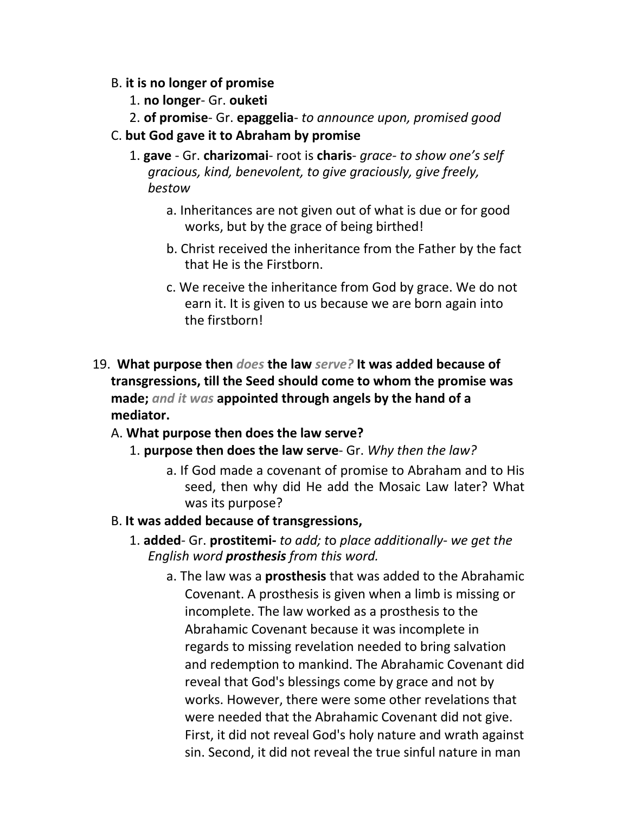- B. **it is no longer of promise**
	- 1. **no longer** Gr. **ouketi**
	- 2. **of promise** Gr. **epaggelia** *to announce upon, promised good*

#### C. **but God gave it to Abraham by promise**

- 1. **gave**  Gr. **charizomai** root is **charis** *grace- to show one's self gracious, kind, benevolent, to give graciously, give freely, bestow*
	- a. Inheritances are not given out of what is due or for good works, but by the grace of being birthed!
	- b. Christ received the inheritance from the Father by the fact that He is the Firstborn.
	- c. We receive the inheritance from God by grace. We do not earn it. It is given to us because we are born again into the firstborn!
- 19. **What purpose then** *does* **the law** *serve?* **It was added because of transgressions, till the Seed should come to whom the promise was made;** *and it was* **appointed through angels by the hand of a mediator.**
	- A. **What purpose then does the law serve?**
		- 1. **purpose then does the law serve** Gr. *Why then the law?*
			- a. If God made a covenant of promise to Abraham and to His seed, then why did He add the Mosaic Law later? What was its purpose?
	- B. **It was added because of transgressions,**
		- 1. **added** Gr. **prostitemi-** *to add; t*o *place additionally- we get the English word prosthesis from this word.*
			- a. The law was a **prosthesis** that was added to the Abrahamic Covenant. A prosthesis is given when a limb is missing or incomplete. The law worked as a prosthesis to the Abrahamic Covenant because it was incomplete in regards to missing revelation needed to bring salvation and redemption to mankind. The Abrahamic Covenant did reveal that God's blessings come by grace and not by works. However, there were some other revelations that were needed that the Abrahamic Covenant did not give. First, it did not reveal God's holy nature and wrath against sin. Second, it did not reveal the true sinful nature in man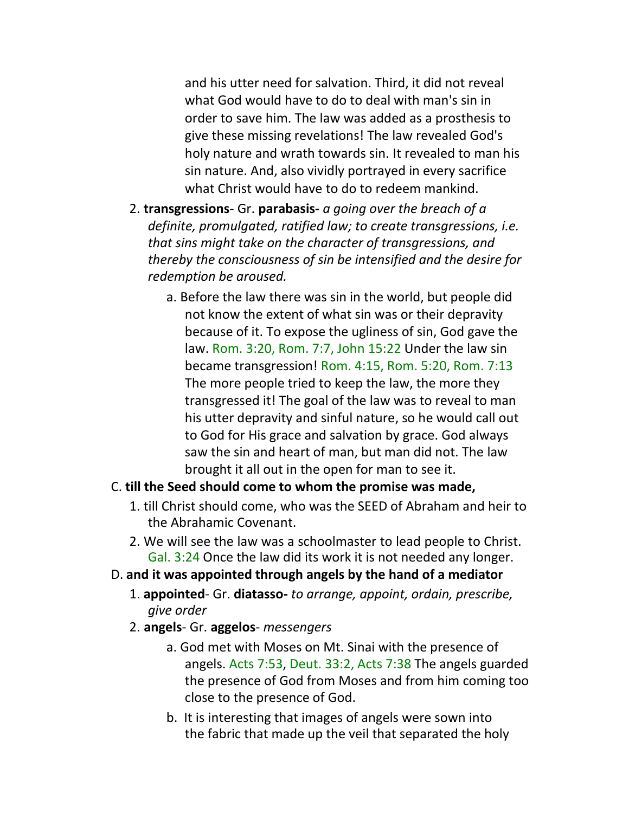and his utter need for salvation. Third, it did not reveal what God would have to do to deal with man's sin in order to save him. The law was added as a prosthesis to give these missing revelations! The law revealed God's holy nature and wrath towards sin. It revealed to man his sin nature. And, also vividly portrayed in every sacrifice what Christ would have to do to redeem mankind.

- 2. **transgressions** Gr. **parabasis-** *a going over the breach of a definite, promulgated, ratified law; to create transgressions, i.e. that sins might take on the character of transgressions, and thereby the consciousness of sin be intensified and the desire for redemption be aroused.*
	- a. Before the law there was sin in the world, but people did not know the extent of what sin was or their depravity because of it. To expose the ugliness of sin, God gave the law. Rom. 3:20, Rom. 7:7, John 15:22 Under the law sin became transgression! Rom. 4:15, Rom. 5:20, Rom. 7:13 The more people tried to keep the law, the more they transgressed it! The goal of the law was to reveal to man his utter depravity and sinful nature, so he would call out to God for His grace and salvation by grace. God always saw the sin and heart of man, but man did not. The law brought it all out in the open for man to see it.

#### C. **till the Seed should come to whom the promise was made,**

- 1. till Christ should come, who was the SEED of Abraham and heir to the Abrahamic Covenant.
- 2. We will see the law was a schoolmaster to lead people to Christ. Gal. 3:24 Once the law did its work it is not needed any longer.
- D. **and it was appointed through angels by the hand of a mediator**
	- 1. **appointed** Gr. **diatasso-** *to arrange, appoint, ordain, prescribe, give order*
	- 2. **angels** Gr. **aggelos** *messengers*
		- a. God met with Moses on Mt. Sinai with the presence of angels. Acts 7:53, Deut. 33:2, Acts 7:38 The angels guarded the presence of God from Moses and from him coming too close to the presence of God.
		- b. It is interesting that images of angels were sown into the fabric that made up the veil that separated the holy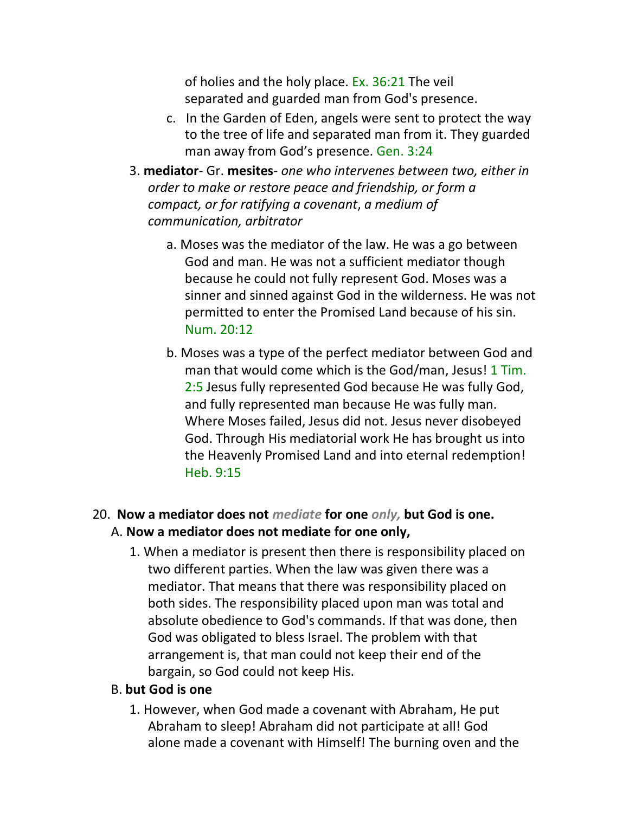of holies and the holy place. Ex. 36:21 The veil separated and guarded man from God's presence.

- c. In the Garden of Eden, angels were sent to protect the way to the tree of life and separated man from it. They guarded man away from God's presence. Gen. 3:24
- 3. **mediator** Gr. **mesites** *one who intervenes between two, either in order to make or restore peace and friendship, or form a compact, or for ratifying a covenant*, *a medium of communication, arbitrator*
	- a. Moses was the mediator of the law. He was a go between God and man. He was not a sufficient mediator though because he could not fully represent God. Moses was a sinner and sinned against God in the wilderness. He was not permitted to enter the Promised Land because of his sin. Num. 20:12
	- b. Moses was a type of the perfect mediator between God and man that would come which is the God/man, Jesus! 1 Tim. 2:5 Jesus fully represented God because He was fully God, and fully represented man because He was fully man. Where Moses failed, Jesus did not. Jesus never disobeyed God. Through His mediatorial work He has brought us into the Heavenly Promised Land and into eternal redemption! Heb. 9:15

# 20. **Now a mediator does not** *mediate* **for one** *only,* **but God is one.**

- A. **Now a mediator does not mediate for one only,**
	- 1. When a mediator is present then there is responsibility placed on two different parties. When the law was given there was a mediator. That means that there was responsibility placed on both sides. The responsibility placed upon man was total and absolute obedience to God's commands. If that was done, then God was obligated to bless Israel. The problem with that arrangement is, that man could not keep their end of the bargain, so God could not keep His.

# B. **but God is one**

1. However, when God made a covenant with Abraham, He put Abraham to sleep! Abraham did not participate at all! God alone made a covenant with Himself! The burning oven and the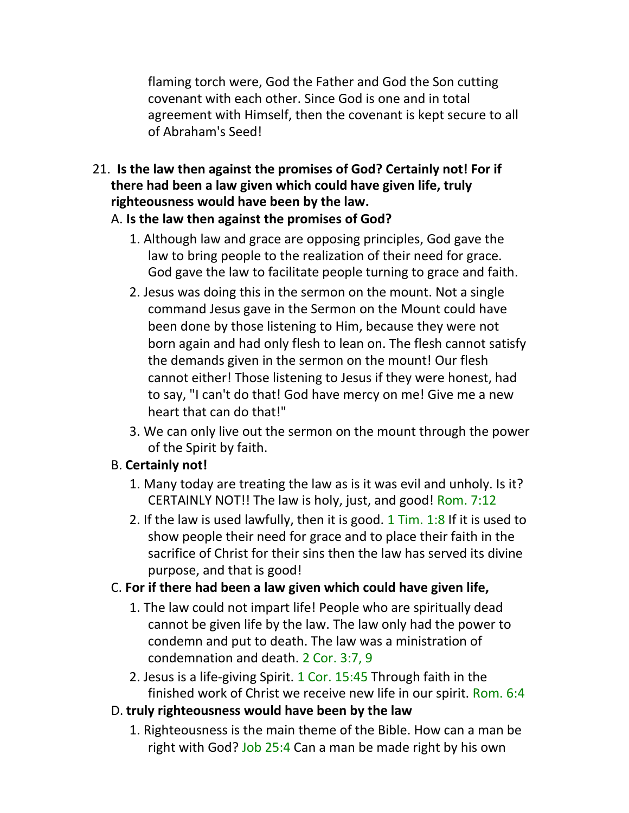flaming torch were, God the Father and God the Son cutting covenant with each other. Since God is one and in total agreement with Himself, then the covenant is kept secure to all of Abraham's Seed!

21. **Is the law then against the promises of God? Certainly not! For if there had been a law given which could have given life, truly righteousness would have been by the law.**

## A. **Is the law then against the promises of God?**

- 1. Although law and grace are opposing principles, God gave the law to bring people to the realization of their need for grace. God gave the law to facilitate people turning to grace and faith.
- 2. Jesus was doing this in the sermon on the mount. Not a single command Jesus gave in the Sermon on the Mount could have been done by those listening to Him, because they were not born again and had only flesh to lean on. The flesh cannot satisfy the demands given in the sermon on the mount! Our flesh cannot either! Those listening to Jesus if they were honest, had to say, "I can't do that! God have mercy on me! Give me a new heart that can do that!"
- 3. We can only live out the sermon on the mount through the power of the Spirit by faith.

# B. **Certainly not!**

- 1. Many today are treating the law as is it was evil and unholy. Is it? CERTAINLY NOT!! The law is holy, just, and good! Rom. 7:12
- 2. If the law is used lawfully, then it is good.  $1$  Tim.  $1:8$  If it is used to show people their need for grace and to place their faith in the sacrifice of Christ for their sins then the law has served its divine purpose, and that is good!

# C. **For if there had been a law given which could have given life,**

- 1. The law could not impart life! People who are spiritually dead cannot be given life by the law. The law only had the power to condemn and put to death. The law was a ministration of condemnation and death. 2 Cor. 3:7, 9
- 2. Jesus is a life-giving Spirit. 1 Cor. 15:45 Through faith in the finished work of Christ we receive new life in our spirit. Rom. 6:4

# D. **truly righteousness would have been by the law**

1. Righteousness is the main theme of the Bible. How can a man be right with God? Job 25:4 Can a man be made right by his own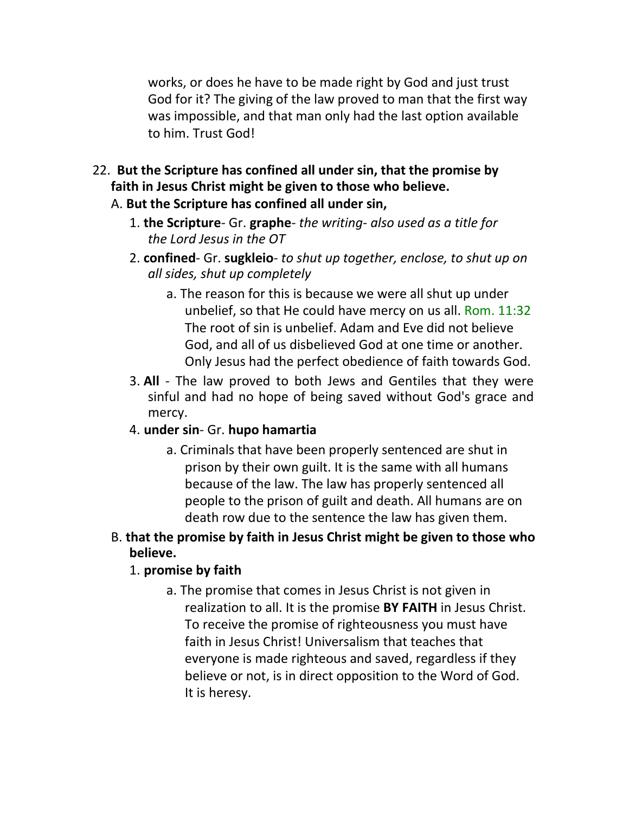works, or does he have to be made right by God and just trust God for it? The giving of the law proved to man that the first way was impossible, and that man only had the last option available to him. Trust God!

- 22. **But the Scripture has confined all under sin, that the promise by faith in Jesus Christ might be given to those who believe.**
	- A. **But the Scripture has confined all under sin,**
		- 1. **the Scripture** Gr. **graphe** *the writing- also used as a title for the Lord Jesus in the OT*
		- 2. **confined** Gr. **sugkleio** *to shut up together, enclose, to shut up on all sides, shut up completely*
			- a. The reason for this is because we were all shut up under unbelief, so that He could have mercy on us all. Rom. 11:32 The root of sin is unbelief. Adam and Eve did not believe God, and all of us disbelieved God at one time or another. Only Jesus had the perfect obedience of faith towards God.
		- 3. **All** The law proved to both Jews and Gentiles that they were sinful and had no hope of being saved without God's grace and mercy.
		- 4. **under sin** Gr. **hupo hamartia**
			- a. Criminals that have been properly sentenced are shut in prison by their own guilt. It is the same with all humans because of the law. The law has properly sentenced all people to the prison of guilt and death. All humans are on death row due to the sentence the law has given them.

#### B. **that the promise by faith in Jesus Christ might be given to those who believe.**

# 1. **promise by faith**

a. The promise that comes in Jesus Christ is not given in realization to all. It is the promise **BY FAITH** in Jesus Christ. To receive the promise of righteousness you must have faith in Jesus Christ! Universalism that teaches that everyone is made righteous and saved, regardless if they believe or not, is in direct opposition to the Word of God. It is heresy.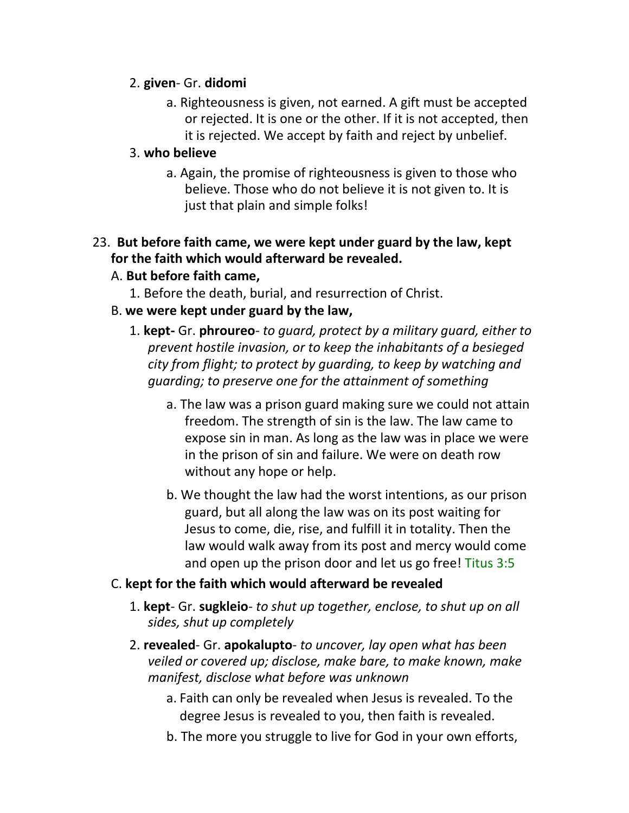#### 2. **given**- Gr. **didomi**

a. Righteousness is given, not earned. A gift must be accepted or rejected. It is one or the other. If it is not accepted, then it is rejected. We accept by faith and reject by unbelief.

#### 3. **who believe**

a. Again, the promise of righteousness is given to those who believe. Those who do not believe it is not given to. It is just that plain and simple folks!

# 23. **But before faith came, we were kept under guard by the law, kept for the faith which would afterward be revealed.**

## A. **But before faith came,**

1. Before the death, burial, and resurrection of Christ.

## B. **we were kept under guard by the law,**

- 1. **kept-** Gr. **phroureo** *to guard, protect by a military guard, either to prevent hostile invasion, or to keep the inhabitants of a besieged city from flight; to protect by guarding, to keep by watching and guarding; to preserve one for the attainment of something*
	- a. The law was a prison guard making sure we could not attain freedom. The strength of sin is the law. The law came to expose sin in man. As long as the law was in place we were in the prison of sin and failure. We were on death row without any hope or help.
	- b. We thought the law had the worst intentions, as our prison guard, but all along the law was on its post waiting for Jesus to come, die, rise, and fulfill it in totality. Then the law would walk away from its post and mercy would come and open up the prison door and let us go free! Titus 3:5

# C. **kept for the faith which would afterward be revealed**

- 1. **kept** Gr. **sugkleio** *to shut up together, enclose, to shut up on all sides, shut up completely*
- 2. **revealed** Gr. **apokalupto** *to uncover, lay open what has been veiled or covered up; disclose, make bare, to make known, make manifest, disclose what before was unknown*
	- a. Faith can only be revealed when Jesus is revealed. To the degree Jesus is revealed to you, then faith is revealed.
	- b. The more you struggle to live for God in your own efforts,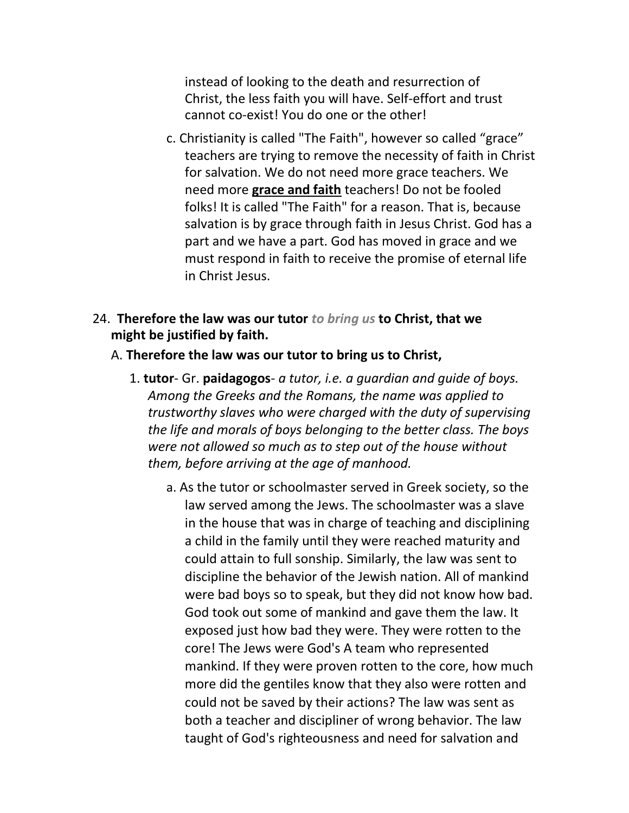instead of looking to the death and resurrection of Christ, the less faith you will have. Self-effort and trust cannot co-exist! You do one or the other!

- c. Christianity is called "The Faith", however so called "grace" teachers are trying to remove the necessity of faith in Christ for salvation. We do not need more grace teachers. We need more **grace and faith** teachers! Do not be fooled folks! It is called "The Faith" for a reason. That is, because salvation is by grace through faith in Jesus Christ. God has a part and we have a part. God has moved in grace and we must respond in faith to receive the promise of eternal life in Christ Jesus.
- 24. **Therefore the law was our tutor** *to bring us* **to Christ, that we might be justified by faith.**
	- A. **Therefore the law was our tutor to bring us to Christ,**
		- 1. **tutor** Gr. **paidagogos** *a tutor, i.e. a guardian and guide of boys. Among the Greeks and the Romans, the name was applied to trustworthy slaves who were charged with the duty of supervising the life and morals of boys belonging to the better class. The boys were not allowed so much as to step out of the house without them, before arriving at the age of manhood.*
			- a. As the tutor or schoolmaster served in Greek society, so the law served among the Jews. The schoolmaster was a slave in the house that was in charge of teaching and disciplining a child in the family until they were reached maturity and could attain to full sonship. Similarly, the law was sent to discipline the behavior of the Jewish nation. All of mankind were bad boys so to speak, but they did not know how bad. God took out some of mankind and gave them the law. It exposed just how bad they were. They were rotten to the core! The Jews were God's A team who represented mankind. If they were proven rotten to the core, how much more did the gentiles know that they also were rotten and could not be saved by their actions? The law was sent as both a teacher and discipliner of wrong behavior. The law taught of God's righteousness and need for salvation and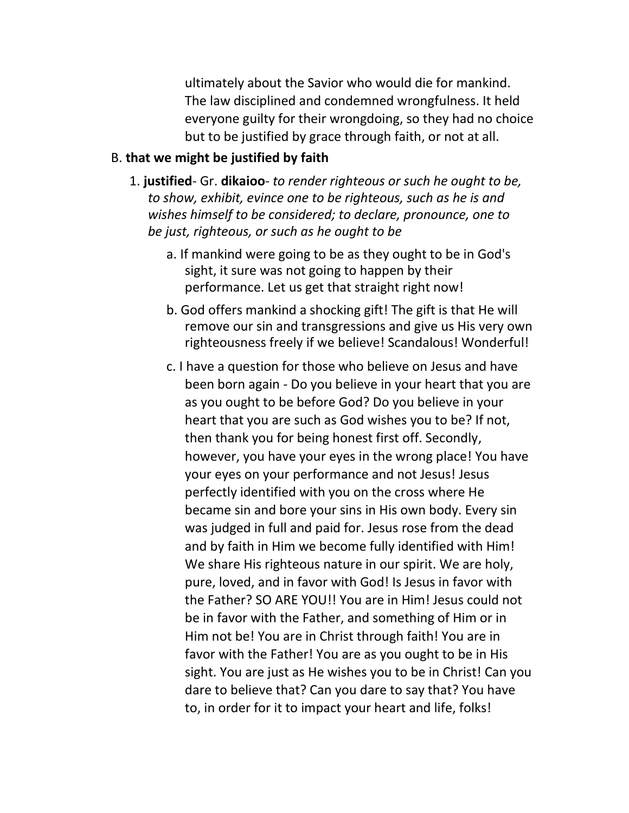ultimately about the Savior who would die for mankind. The law disciplined and condemned wrongfulness. It held everyone guilty for their wrongdoing, so they had no choice but to be justified by grace through faith, or not at all.

#### B. **that we might be justified by faith**

- 1. **justified** Gr. **dikaioo** *to render righteous or such he ought to be, to show, exhibit, evince one to be righteous, such as he is and wishes himself to be considered; to declare, pronounce, one to be just, righteous, or such as he ought to be*
	- a. If mankind were going to be as they ought to be in God's sight, it sure was not going to happen by their performance. Let us get that straight right now!
	- b. God offers mankind a shocking gift! The gift is that He will remove our sin and transgressions and give us His very own righteousness freely if we believe! Scandalous! Wonderful!
	- c. I have a question for those who believe on Jesus and have been born again - Do you believe in your heart that you are as you ought to be before God? Do you believe in your heart that you are such as God wishes you to be? If not, then thank you for being honest first off. Secondly, however, you have your eyes in the wrong place! You have your eyes on your performance and not Jesus! Jesus perfectly identified with you on the cross where He became sin and bore your sins in His own body. Every sin was judged in full and paid for. Jesus rose from the dead and by faith in Him we become fully identified with Him! We share His righteous nature in our spirit. We are holy, pure, loved, and in favor with God! Is Jesus in favor with the Father? SO ARE YOU!! You are in Him! Jesus could not be in favor with the Father, and something of Him or in Him not be! You are in Christ through faith! You are in favor with the Father! You are as you ought to be in His sight. You are just as He wishes you to be in Christ! Can you dare to believe that? Can you dare to say that? You have to, in order for it to impact your heart and life, folks!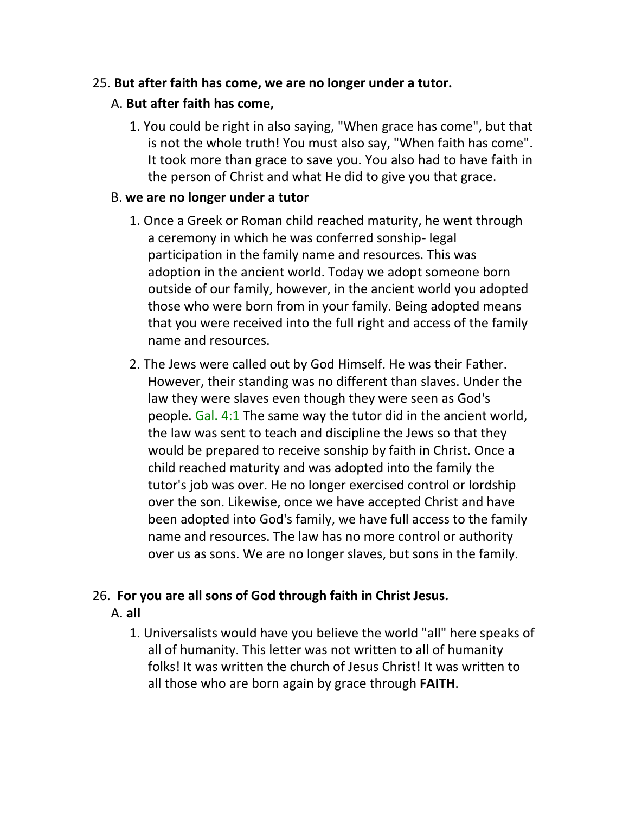### 25. **But after faith has come, we are no longer under a tutor.**

# A. **But after faith has come,**

1. You could be right in also saying, "When grace has come", but that is not the whole truth! You must also say, "When faith has come". It took more than grace to save you. You also had to have faith in the person of Christ and what He did to give you that grace.

### B. **we are no longer under a tutor**

- 1. Once a Greek or Roman child reached maturity, he went through a ceremony in which he was conferred sonship- legal participation in the family name and resources. This was adoption in the ancient world. Today we adopt someone born outside of our family, however, in the ancient world you adopted those who were born from in your family. Being adopted means that you were received into the full right and access of the family name and resources.
- 2. The Jews were called out by God Himself. He was their Father. However, their standing was no different than slaves. Under the law they were slaves even though they were seen as God's people. Gal. 4:1 The same way the tutor did in the ancient world, the law was sent to teach and discipline the Jews so that they would be prepared to receive sonship by faith in Christ. Once a child reached maturity and was adopted into the family the tutor's job was over. He no longer exercised control or lordship over the son. Likewise, once we have accepted Christ and have been adopted into God's family, we have full access to the family name and resources. The law has no more control or authority over us as sons. We are no longer slaves, but sons in the family.

# 26. **For you are all sons of God through faith in Christ Jesus.**

- A. **all**
	- 1. Universalists would have you believe the world "all" here speaks of all of humanity. This letter was not written to all of humanity folks! It was written the church of Jesus Christ! It was written to all those who are born again by grace through **FAITH**.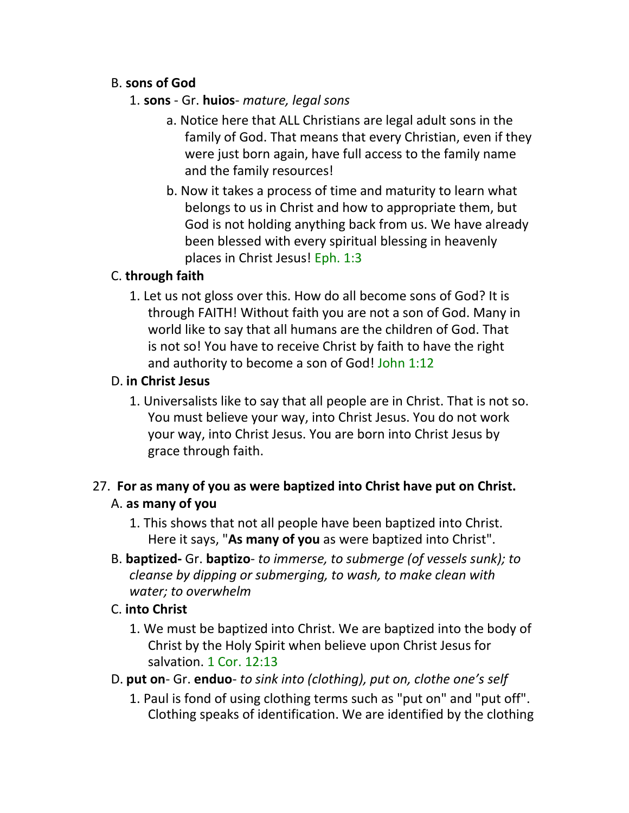# B. **sons of God**

- 1. **sons**  Gr. **huios** *mature, legal sons*
	- a. Notice here that ALL Christians are legal adult sons in the family of God. That means that every Christian, even if they were just born again, have full access to the family name and the family resources!
	- b. Now it takes a process of time and maturity to learn what belongs to us in Christ and how to appropriate them, but God is not holding anything back from us. We have already been blessed with every spiritual blessing in heavenly places in Christ Jesus! Eph. 1:3

# C. **through faith**

1. Let us not gloss over this. How do all become sons of God? It is through FAITH! Without faith you are not a son of God. Many in world like to say that all humans are the children of God. That is not so! You have to receive Christ by faith to have the right and authority to become a son of God! John 1:12

## D. **in Christ Jesus**

1. Universalists like to say that all people are in Christ. That is not so. You must believe your way, into Christ Jesus. You do not work your way, into Christ Jesus. You are born into Christ Jesus by grace through faith.

# 27. **For as many of you as were baptized into Christ have put on Christ.** A. **as many of you**

- 1. This shows that not all people have been baptized into Christ. Here it says, "**As many of you** as were baptized into Christ".
- B. **baptized-** Gr. **baptizo** *to immerse, to submerge (of vessels sunk); to cleanse by dipping or submerging, to wash, to make clean with water; to overwhelm*

# C. **into Christ**

- 1. We must be baptized into Christ. We are baptized into the body of Christ by the Holy Spirit when believe upon Christ Jesus for salvation. 1 Cor. 12:13
- D. **put on** Gr. **enduo** *to sink into (clothing), put on, clothe one's self*
	- 1. Paul is fond of using clothing terms such as "put on" and "put off". Clothing speaks of identification. We are identified by the clothing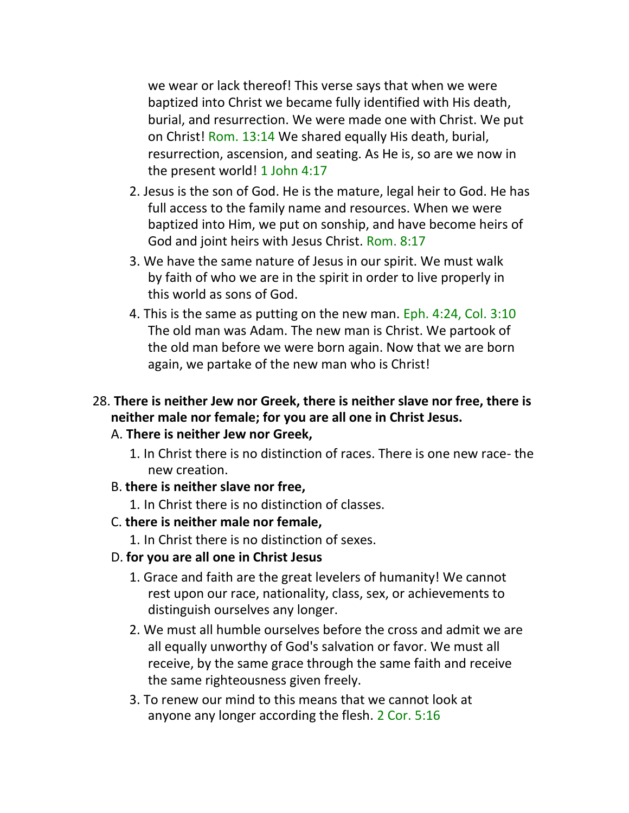we wear or lack thereof! This verse says that when we were baptized into Christ we became fully identified with His death, burial, and resurrection. We were made one with Christ. We put on Christ! Rom. 13:14 We shared equally His death, burial, resurrection, ascension, and seating. As He is, so are we now in the present world! 1 John 4:17

- 2. Jesus is the son of God. He is the mature, legal heir to God. He has full access to the family name and resources. When we were baptized into Him, we put on sonship, and have become heirs of God and joint heirs with Jesus Christ. Rom. 8:17
- 3. We have the same nature of Jesus in our spirit. We must walk by faith of who we are in the spirit in order to live properly in this world as sons of God.
- 4. This is the same as putting on the new man. Eph. 4:24, Col. 3:10 The old man was Adam. The new man is Christ. We partook of the old man before we were born again. Now that we are born again, we partake of the new man who is Christ!

# 28. **There is neither Jew nor Greek, there is neither slave nor free, there is neither male nor female; for you are all one in Christ Jesus.**

#### A. **There is neither Jew nor Greek,**

1. In Christ there is no distinction of races. There is one new race- the new creation.

# B. **there is neither slave nor free,**

1. In Christ there is no distinction of classes.

# C. **there is neither male nor female,**

1. In Christ there is no distinction of sexes.

# D. **for you are all one in Christ Jesus**

- 1. Grace and faith are the great levelers of humanity! We cannot rest upon our race, nationality, class, sex, or achievements to distinguish ourselves any longer.
- 2. We must all humble ourselves before the cross and admit we are all equally unworthy of God's salvation or favor. We must all receive, by the same grace through the same faith and receive the same righteousness given freely.
- 3. To renew our mind to this means that we cannot look at anyone any longer according the flesh. 2 Cor. 5:16